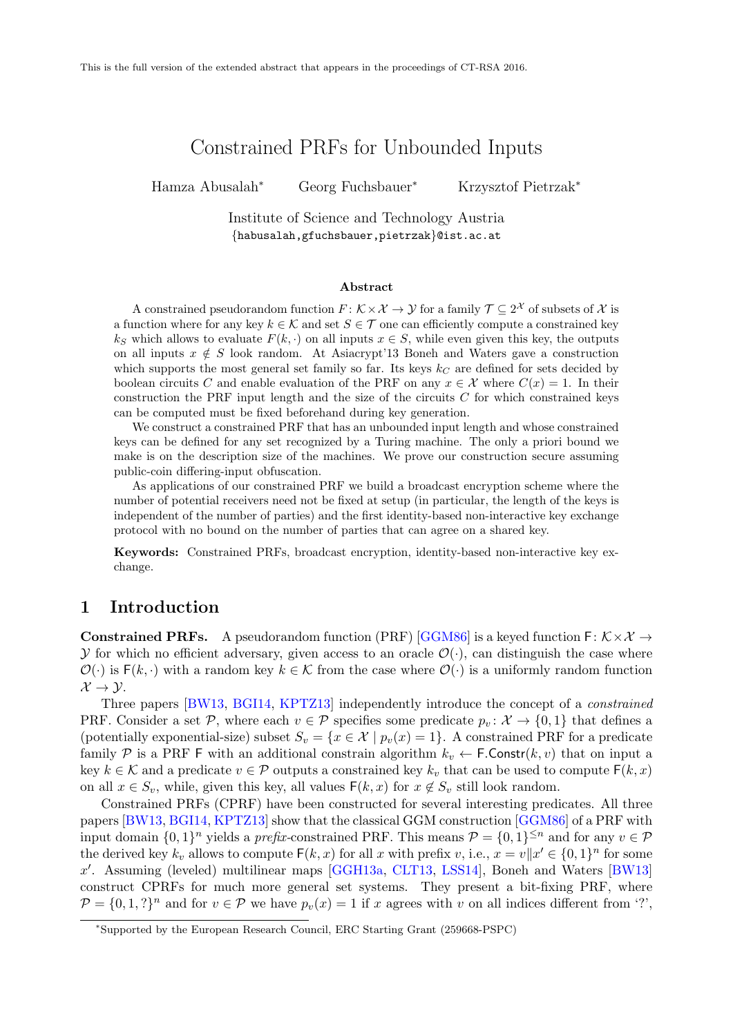# Constrained PRFs for Unbounded Inputs

Hamza Abusalah<sup>∗</sup> Georg Fuchsbauer<sup>∗</sup> Krzysztof Pietrzak<sup>∗</sup>

Institute of Science and Technology Austria {habusalah,gfuchsbauer,pietrzak}@ist.ac.at

#### Abstract

A constrained pseudorandom function  $F: \mathcal{K} \times \mathcal{X} \to \mathcal{Y}$  for a family  $\mathcal{T} \subseteq 2^{\mathcal{X}}$  of subsets of  $\mathcal{X}$  is a function where for any key  $k \in \mathcal{K}$  and set  $S \in \mathcal{T}$  one can efficiently compute a constrained key  $k<sub>S</sub>$  which allows to evaluate  $F(k, \cdot)$  on all inputs  $x \in S$ , while even given this key, the outputs on all inputs  $x \notin S$  look random. At Asiacrypt'13 Boneh and Waters gave a construction which supports the most general set family so far. Its keys  $k<sub>C</sub>$  are defined for sets decided by boolean circuits C and enable evaluation of the PRF on any  $x \in \mathcal{X}$  where  $C(x) = 1$ . In their construction the PRF input length and the size of the circuits  $C$  for which constrained keys can be computed must be fixed beforehand during key generation.

We construct a constrained PRF that has an unbounded input length and whose constrained keys can be defined for any set recognized by a Turing machine. The only a priori bound we make is on the description size of the machines. We prove our construction secure assuming public-coin differing-input obfuscation.

As applications of our constrained PRF we build a broadcast encryption scheme where the number of potential receivers need not be fixed at setup (in particular, the length of the keys is independent of the number of parties) and the first identity-based non-interactive key exchange protocol with no bound on the number of parties that can agree on a shared key.

Keywords: Constrained PRFs, broadcast encryption, identity-based non-interactive key exchange.

### 1 Introduction

**Constrained PRFs.** A pseudorandom function (PRF) [\[GGM86\]](#page-15-0) is a keyed function  $F: K \times X \rightarrow$ y for which no efficient adversary, given access to an oracle  $\mathcal{O}(\cdot)$ , can distinguish the case where  $\mathcal{O}(\cdot)$  is  $F(k, \cdot)$  with a random key  $k \in \mathcal{K}$  from the case where  $\mathcal{O}(\cdot)$  is a uniformly random function  $\mathcal{X} \rightarrow \mathcal{Y}$ .

Three papers [\[BW13,](#page-14-0) [BGI14,](#page-14-1) [KPTZ13\]](#page-15-1) independently introduce the concept of a constrained PRF. Consider a set P, where each  $v \in \mathcal{P}$  specifies some predicate  $p_v : \mathcal{X} \to \{0,1\}$  that defines a (potentially exponential-size) subset  $S_v = \{x \in \mathcal{X} \mid p_v(x) = 1\}$ . A constrained PRF for a predicate family P is a PRF F with an additional constrain algorithm  $k_v \leftarrow \textsf{F}.\textsf{Constr}(k, v)$  that on input a key  $k \in \mathcal{K}$  and a predicate  $v \in \mathcal{P}$  outputs a constrained key  $k_v$  that can be used to compute  $F(k, x)$ on all  $x \in S_v$ , while, given this key, all values  $F(k, x)$  for  $x \notin S_v$  still look random.

Constrained PRFs (CPRF) have been constructed for several interesting predicates. All three papers [\[BW13,](#page-14-0) [BGI14,](#page-14-1) [KPTZ13\]](#page-15-1) show that the classical GGM construction [\[GGM86\]](#page-15-0) of a PRF with input domain  $\{0,1\}^n$  yields a *prefix*-constrained PRF. This means  $\mathcal{P} = \{0,1\}^{\leq n}$  and for any  $v \in \mathcal{P}$ the derived key  $k_v$  allows to compute  $F(k, x)$  for all x with prefix v, i.e.,  $x = v||x' \in \{0, 1\}^n$  for some  $x'$ . Assuming (leveled) multilinear maps [\[GGH13a,](#page-14-2) [CLT13,](#page-14-3) [LSS14\]](#page-15-2), Boneh and Waters [\[BW13\]](#page-14-0) construct CPRFs for much more general set systems. They present a bit-fixing PRF, where  $\mathcal{P} = \{0, 1, ?\}^n$  and for  $v \in \mathcal{P}$  we have  $p_v(x) = 1$  if x agrees with v on all indices different from '?',

<sup>∗</sup>Supported by the European Research Council, ERC Starting Grant (259668-PSPC)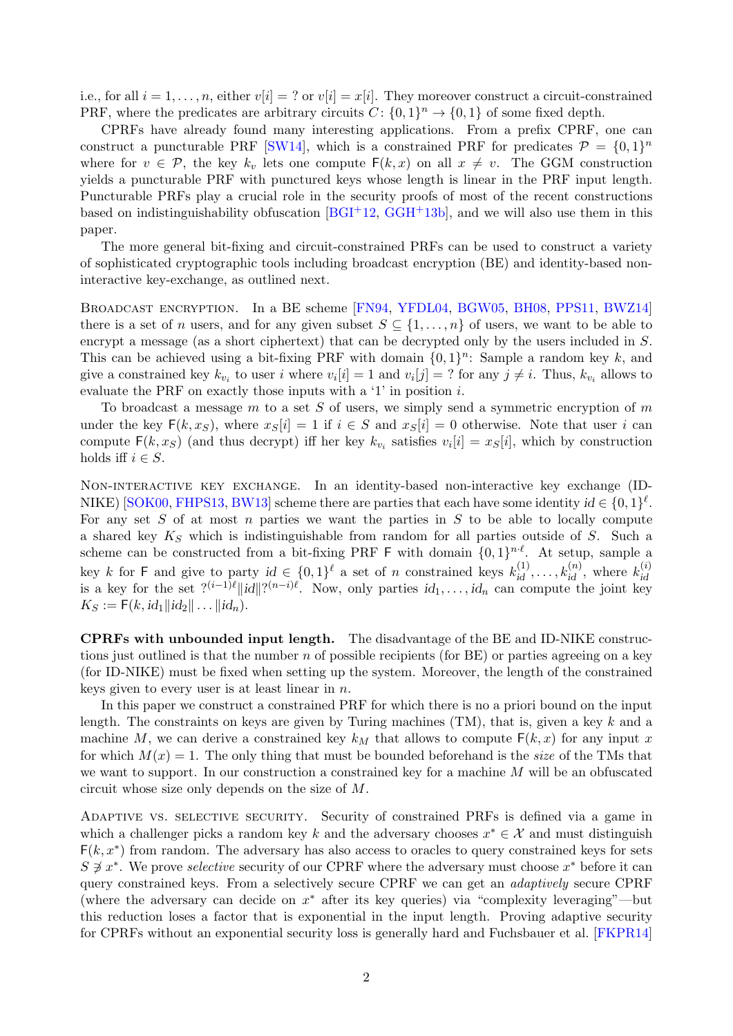i.e., for all  $i = 1, \ldots, n$ , either  $v[i] = ?$  or  $v[i] = x[i]$ . They moreover construct a circuit-constrained PRF, where the predicates are arbitrary circuits  $C: \{0,1\}^n \to \{0,1\}$  of some fixed depth.

CPRFs have already found many interesting applications. From a prefix CPRF, one can construct a puncturable PRF [\[SW14\]](#page-15-3), which is a constrained PRF for predicates  $\mathcal{P} = \{0, 1\}^n$ where for  $v \in \mathcal{P}$ , the key  $k_v$  lets one compute  $F(k, x)$  on all  $x \neq v$ . The GGM construction yields a puncturable PRF with punctured keys whose length is linear in the PRF input length. Puncturable PRFs play a crucial role in the security proofs of most of the recent constructions based on indistinguishability obfuscation  $[BGI^+12, GGH^+13b]$  $[BGI^+12, GGH^+13b]$  $[BGI^+12, GGH^+13b]$  $[BGI^+12, GGH^+13b]$ , and we will also use them in this paper.

The more general bit-fixing and circuit-constrained PRFs can be used to construct a variety of sophisticated cryptographic tools including broadcast encryption (BE) and identity-based noninteractive key-exchange, as outlined next.

Broadcast encryption. In a BE scheme [\[FN94,](#page-14-6) [YFDL04,](#page-15-4) [BGW05,](#page-14-7) [BH08,](#page-14-8) [PPS11,](#page-15-5) [BWZ14\]](#page-14-9) there is a set of n users, and for any given subset  $S \subseteq \{1, \ldots, n\}$  of users, we want to be able to encrypt a message (as a short ciphertext) that can be decrypted only by the users included in S. This can be achieved using a bit-fixing PRF with domain  $\{0,1\}^n$ : Sample a random key k, and give a constrained key  $k_{v_i}$  to user i where  $v_i[i] = 1$  and  $v_i[j] = ?$  for any  $j \neq i$ . Thus,  $k_{v_i}$  allows to evaluate the PRF on exactly those inputs with a '1' in position i.

To broadcast a message  $m$  to a set  $S$  of users, we simply send a symmetric encryption of  $m$ under the key  $F(k, x<sub>S</sub>)$ , where  $x<sub>S</sub>[i] = 1$  if  $i \in S$  and  $x<sub>S</sub>[i] = 0$  otherwise. Note that user i can compute  $F(k, x_S)$  (and thus decrypt) iff her key  $k_{v_i}$  satisfies  $v_i[i] = x_S[i]$ , which by construction holds iff  $i \in S$ .

Non-interactive key exchange. In an identity-based non-interactive key exchange (ID-NIKE) [\[SOK00,](#page-15-6) [FHPS13,](#page-14-10) [BW13\]](#page-14-0) scheme there are parties that each have some identity  $id \in \{0,1\}^{\ell}$ . For any set  $S$  of at most  $n$  parties we want the parties in  $S$  to be able to locally compute a shared key  $K_S$  which is indistinguishable from random for all parties outside of S. Such a scheme can be constructed from a bit-fixing PRF  $\sf F$  with domain  $\{0,1\}^{n \cdot \ell}$ . At setup, sample a key k for F and give to party  $id \in \{0,1\}^{\ell}$  a set of n constrained keys  $k_{id}^{(1)}, \ldots, k_{id}^{(n)}$ , where  $k_{id}^{(i)}$ is a key for the set  $?^{(i-1)\ell}||id||?^{(n-i)\ell}$ . Now, only parties  $id_1, \ldots, id_n$  can compute the joint key is  $i$  $K_S := \mathsf{F}(k, id_1 || id_2 || \ldots || id_n).$ 

CPRFs with unbounded input length. The disadvantage of the BE and ID-NIKE constructions just outlined is that the number n of possible recipients (for BE) or parties agreeing on a key (for ID-NIKE) must be fixed when setting up the system. Moreover, the length of the constrained keys given to every user is at least linear in  $n$ .

In this paper we construct a constrained PRF for which there is no a priori bound on the input length. The constraints on keys are given by Turing machines  $(TM)$ , that is, given a key k and a machine M, we can derive a constrained key  $k_M$  that allows to compute  $F(k, x)$  for any input x for which  $M(x) = 1$ . The only thing that must be bounded beforehand is the *size* of the TMs that we want to support. In our construction a constrained key for a machine M will be an obfuscated circuit whose size only depends on the size of M.

Adaptive vs. selective security. Security of constrained PRFs is defined via a game in which a challenger picks a random key k and the adversary chooses  $x^* \in \mathcal{X}$  and must distinguish  $F(k, x^*)$  from random. The adversary has also access to oracles to query constrained keys for sets  $S \not\ni x^*$ . We prove *selective* security of our CPRF where the adversary must choose  $x^*$  before it can query constrained keys. From a selectively secure CPRF we can get an adaptively secure CPRF (where the adversary can decide on  $x^*$  after its key queries) via "complexity leveraging"—but this reduction loses a factor that is exponential in the input length. Proving adaptive security for CPRFs without an exponential security loss is generally hard and Fuchsbauer et al. [\[FKPR14\]](#page-14-11)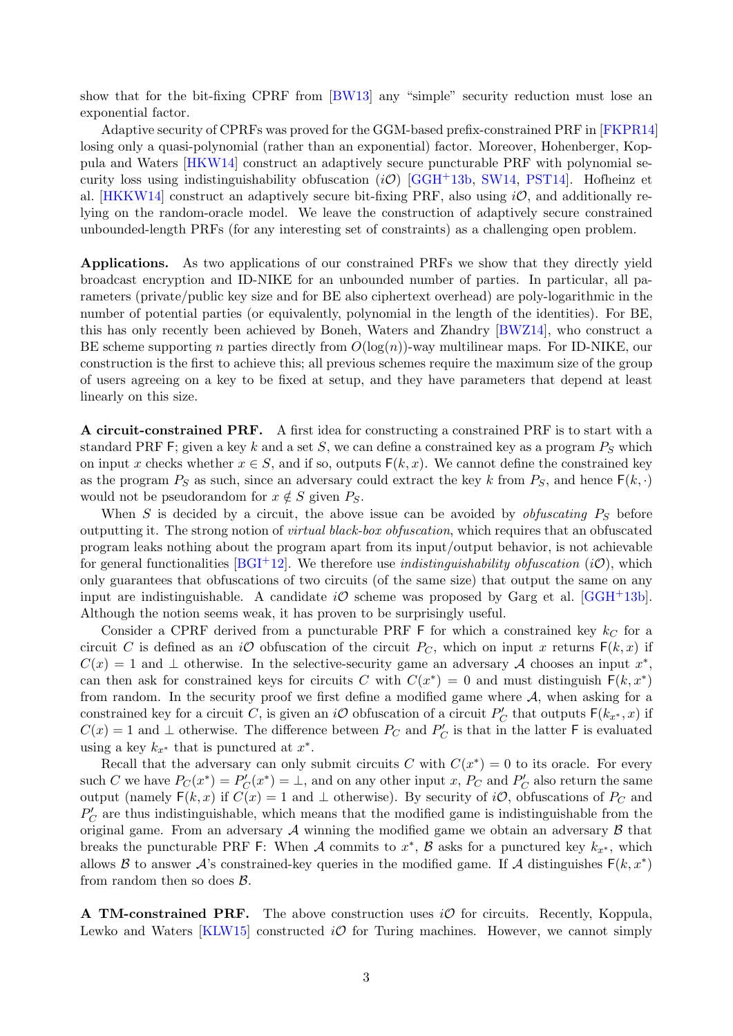show that for the bit-fixing CPRF from [\[BW13\]](#page-14-0) any "simple" security reduction must lose an exponential factor.

Adaptive security of CPRFs was proved for the GGM-based prefix-constrained PRF in [\[FKPR14\]](#page-14-11) losing only a quasi-polynomial (rather than an exponential) factor. Moreover, Hohenberger, Koppula and Waters [\[HKW14\]](#page-15-7) construct an adaptively secure puncturable PRF with polynomial security loss using indistinguishability obfuscation  $(i\mathcal{O})$  [\[GGH](#page-14-5)+13b, [SW14,](#page-15-3) [PST14\]](#page-15-8). Hofheinz et al. [\[HKKW14\]](#page-15-9) construct an adaptively secure bit-fixing PRF, also using  $i\mathcal{O}$ , and additionally relying on the random-oracle model. We leave the construction of adaptively secure constrained unbounded-length PRFs (for any interesting set of constraints) as a challenging open problem.

Applications. As two applications of our constrained PRFs we show that they directly yield broadcast encryption and ID-NIKE for an unbounded number of parties. In particular, all parameters (private/public key size and for BE also ciphertext overhead) are poly-logarithmic in the number of potential parties (or equivalently, polynomial in the length of the identities). For BE, this has only recently been achieved by Boneh, Waters and Zhandry [\[BWZ14\]](#page-14-9), who construct a BE scheme supporting n parties directly from  $O(log(n))$ -way multilinear maps. For ID-NIKE, our construction is the first to achieve this; all previous schemes require the maximum size of the group of users agreeing on a key to be fixed at setup, and they have parameters that depend at least linearly on this size.

A circuit-constrained PRF. A first idea for constructing a constrained PRF is to start with a standard PRF F; given a key k and a set S, we can define a constrained key as a program  $P<sub>S</sub>$  which on input x checks whether  $x \in S$ , and if so, outputs  $F(k, x)$ . We cannot define the constrained key as the program  $P_S$  as such, since an adversary could extract the key k from  $P_S$ , and hence  $F(k, \cdot)$ would not be pseudorandom for  $x \notin S$  given  $P_S$ .

When S is decided by a circuit, the above issue can be avoided by *obfuscating*  $P<sub>S</sub>$  before outputting it. The strong notion of virtual black-box obfuscation, which requires that an obfuscated program leaks nothing about the program apart from its input/output behavior, is not achievable for general functionalities [\[BGI](#page-14-4)<sup>+</sup>12]. We therefore use *indistinguishability obfuscation* (*iO*), which only guarantees that obfuscations of two circuits (of the same size) that output the same on any input are indistinguishable. A candidate  $i\mathcal{O}$  scheme was proposed by Garg et al. [\[GGH](#page-14-5)+13b]. Although the notion seems weak, it has proven to be surprisingly useful.

Consider a CPRF derived from a puncturable PRF F for which a constrained key  $k<sub>C</sub>$  for a circuit C is defined as an iO obfuscation of the circuit  $P_C$ , which on input x returns  $F(k, x)$  if  $C(x) = 1$  and  $\perp$  otherwise. In the selective-security game an adversary A chooses an input  $x^*$ , can then ask for constrained keys for circuits C with  $C(x^*) = 0$  and must distinguish  $F(k, x^*)$ from random. In the security proof we first define a modified game where  $A$ , when asking for a constrained key for a circuit C, is given an iO obfuscation of a circuit  $P'_C$  that outputs  $F(k_{x^*}, x)$  if  $C(x) = 1$  and  $\perp$  otherwise. The difference between  $P_C$  and  $P'_C$  is that in the latter F is evaluated using a key  $k_{x^*}$  that is punctured at  $x^*$ .

Recall that the adversary can only submit circuits C with  $C(x^*) = 0$  to its oracle. For every such C we have  $P_C(x^*) = P'_C(x^*) = \perp$ , and on any other input x,  $P_C$  and  $P'_C$  also return the same output (namely  $F(k, x)$  if  $C(x) = 1$  and  $\perp$  otherwise). By security of iO, obfuscations of  $P_C$  and  $P_C'$  are thus indistinguishable, which means that the modified game is indistinguishable from the original game. From an adversary  $A$  winning the modified game we obtain an adversary  $B$  that breaks the puncturable PRF F: When A commits to  $x^*$ , B asks for a punctured key  $k_{x^*}$ , which allows B to answer A's constrained-key queries in the modified game. If A distinguishes  $F(k, x^*)$ from random then so does  $\beta$ .

**A TM-constrained PRF.** The above construction uses  $i\mathcal{O}$  for circuits. Recently, Koppula, Lewko and Waters [\[KLW15\]](#page-15-10) constructed  $i\mathcal{O}$  for Turing machines. However, we cannot simply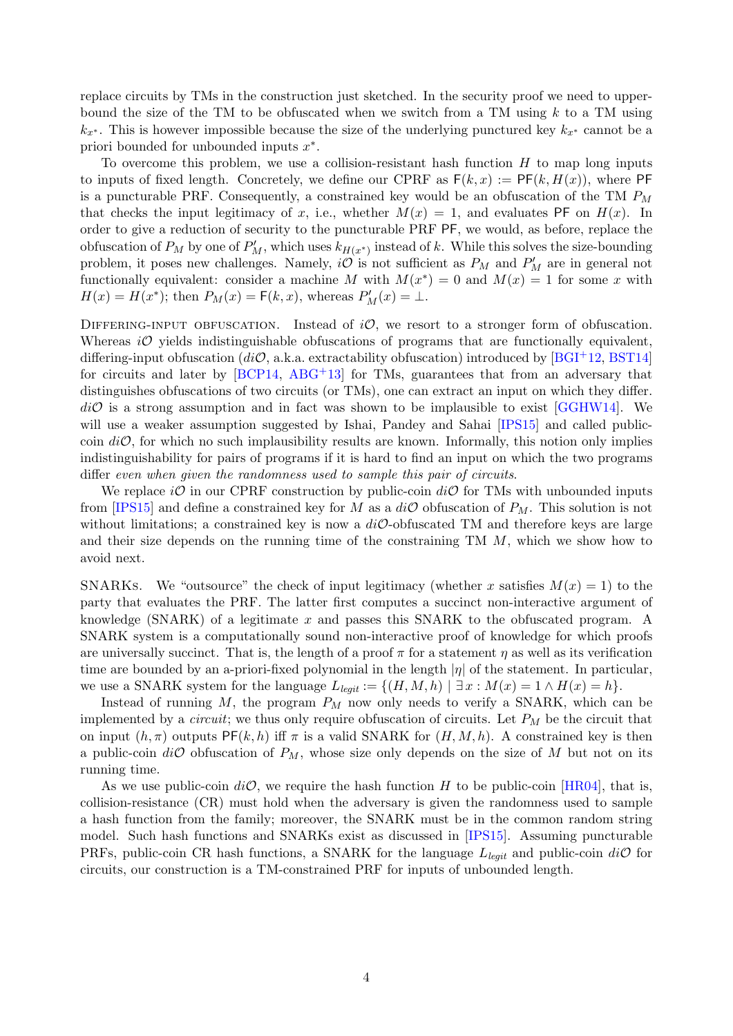replace circuits by TMs in the construction just sketched. In the security proof we need to upperbound the size of the TM to be obfuscated when we switch from a TM using  $k$  to a TM using  $k_{x*}$ . This is however impossible because the size of the underlying punctured key  $k_{x*}$  cannot be a priori bounded for unbounded inputs  $x^*$ .

To overcome this problem, we use a collision-resistant hash function  $H$  to map long inputs to inputs of fixed length. Concretely, we define our CPRF as  $F(k, x) := PF(k, H(x))$ , where PF is a puncturable PRF. Consequently, a constrained key would be an obfuscation of the TM  $P_M$ that checks the input legitimacy of x, i.e., whether  $M(x) = 1$ , and evaluates PF on  $H(x)$ . In order to give a reduction of security to the puncturable PRF PF, we would, as before, replace the obfuscation of  $P_M$  by one of  $P'_M$ , which uses  $k_{H(x^*)}$  instead of k. While this solves the size-bounding problem, it poses new challenges. Namely,  $i\mathcal{O}$  is not sufficient as  $P_M$  and  $P'_M$  are in general not functionally equivalent: consider a machine M with  $M(x^*) = 0$  and  $M(x) = 1$  for some x with  $H(x) = H(x^*)$ ; then  $P_M(x) = F(k, x)$ , whereas  $P'_M(x) = \perp$ .

DIFFERING-INPUT OBFUSCATION. Instead of  $i\mathcal{O}$ , we resort to a stronger form of obfuscation. Whereas  $i\mathcal{O}$  yields indistinguishable obfuscations of programs that are functionally equivalent, differing-input obfuscation (diO, a.k.a. extractability obfuscation) introduced by [\[BGI](#page-14-4)+12, [BST14\]](#page-14-12) for circuits and later by [\[BCP14,](#page-13-0) [ABG](#page-13-1)<sup>+</sup>13] for TMs, guarantees that from an adversary that distinguishes obfuscations of two circuits (or TMs), one can extract an input on which they differ.  $di\mathcal{O}$  is a strong assumption and in fact was shown to be implausible to exist [\[GGHW14\]](#page-14-13). We will use a weaker assumption suggested by Ishai, Pandey and Sahai [\[IPS15\]](#page-15-11) and called publiccoin  $di\mathcal{O}$ , for which no such implausibility results are known. Informally, this notion only implies indistinguishability for pairs of programs if it is hard to find an input on which the two programs differ even when given the randomness used to sample this pair of circuits.

We replace  $i\mathcal{O}$  in our CPRF construction by public-coin  $di\mathcal{O}$  for TMs with unbounded inputs from [\[IPS15\]](#page-15-11) and define a constrained key for M as a  $di\mathcal{O}$  obfuscation of  $P_M$ . This solution is not without limitations; a constrained key is now a  $di\mathcal{O}$ -obfuscated TM and therefore keys are large and their size depends on the running time of the constraining  $TM$  M, which we show how to avoid next.

SNARKs. We "outsource" the check of input legitimacy (whether x satisfies  $M(x) = 1$ ) to the party that evaluates the PRF. The latter first computes a succinct non-interactive argument of knowledge (SNARK) of a legitimate  $x$  and passes this SNARK to the obfuscated program. A SNARK system is a computationally sound non-interactive proof of knowledge for which proofs are universally succinct. That is, the length of a proof  $\pi$  for a statement  $\eta$  as well as its verification time are bounded by an a-priori-fixed polynomial in the length  $|\eta|$  of the statement. In particular, we use a SNARK system for the language  $L_{\text{leaf}t} := \{(H, M, h) \mid \exists x : M(x) = 1 \land H(x) = h\}.$ 

Instead of running  $M$ , the program  $P_M$  now only needs to verify a SNARK, which can be implemented by a *circuit*; we thus only require obfuscation of circuits. Let  $P_M$  be the circuit that on input  $(h, \pi)$  outputs PF $(k, h)$  iff  $\pi$  is a valid SNARK for  $(H, M, h)$ . A constrained key is then a public-coin  $di\mathcal{O}$  obfuscation of  $P_M$ , whose size only depends on the size of M but not on its running time.

As we use public-coin  $di\mathcal{O}$ , we require the hash function H to be public-coin [\[HR04\]](#page-15-12), that is, collision-resistance (CR) must hold when the adversary is given the randomness used to sample a hash function from the family; moreover, the SNARK must be in the common random string model. Such hash functions and SNARKs exist as discussed in [\[IPS15\]](#page-15-11). Assuming puncturable PRFs, public-coin CR hash functions, a SNARK for the language  $L_{\text{leaft}}$  and public-coin  $di\mathcal{O}$  for circuits, our construction is a TM-constrained PRF for inputs of unbounded length.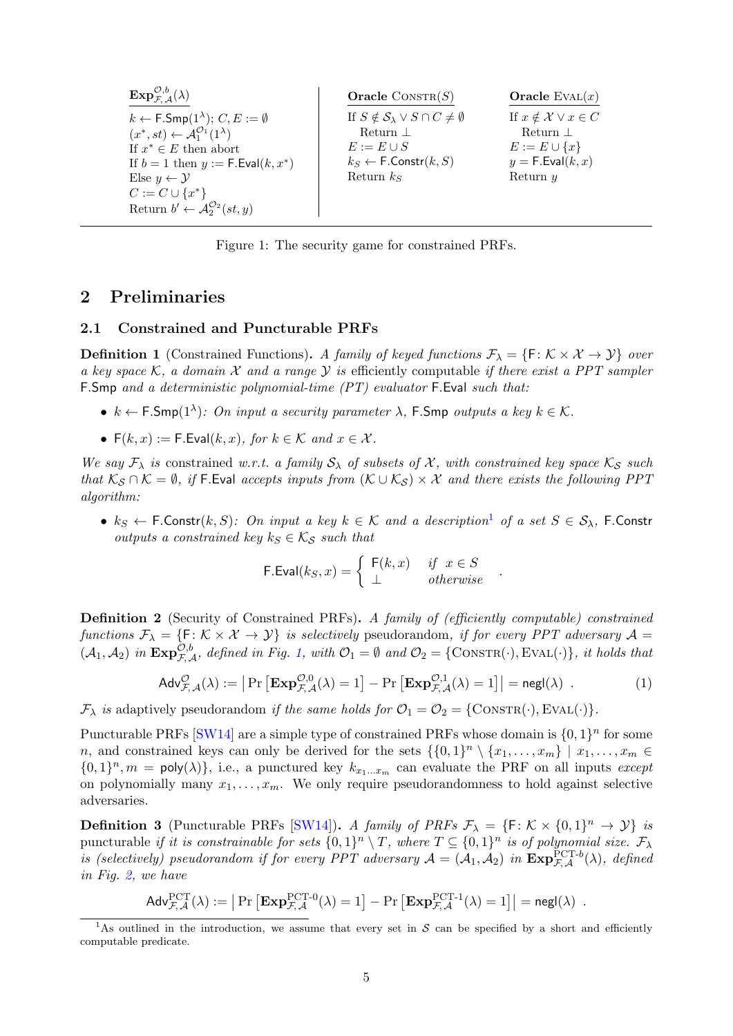| $\mathbf{Exp}_{\mathcal{F}^{-A}}^{\mathcal{O},b}(\lambda)$                                                                                                                                                                                                                                                                          | <b>Oracle</b> CONSTR $(S)$                                                                                                                                                | Oracle EVAL $(x)$                                                                                                   |
|-------------------------------------------------------------------------------------------------------------------------------------------------------------------------------------------------------------------------------------------------------------------------------------------------------------------------------------|---------------------------------------------------------------------------------------------------------------------------------------------------------------------------|---------------------------------------------------------------------------------------------------------------------|
| $k \leftarrow \mathsf{F.Smp}(1^{\lambda}); C, E := \emptyset$<br>$(x^*, st) \leftarrow \mathcal{A}_1^{\mathcal{O}_1}(1^{\lambda})$<br>If $x^* \in E$ then abort<br>If $b = 1$ then $y := F.Eval(k, x^*)$<br>Else $y \leftarrow \mathcal{Y}$<br>$C := C \cup \{x^*\}$<br>Return $b' \leftarrow \mathcal{A}_2^{\mathcal{O}_2}(st, y)$ | If $S \notin \mathcal{S}_{\lambda} \vee S \cap C \neq \emptyset$<br>Return $\perp$<br>$E := E \cup S$<br>$k_S \leftarrow \mathsf{F}.\mathsf{Constr}(k,S)$<br>Return $k_s$ | If $x \notin \mathcal{X} \lor x \in C$<br>Return $\perp$<br>$E := E \cup \{x\}$<br>$y = F.Eval(k, x)$<br>Return $y$ |

<span id="page-4-1"></span>Figure 1: The security game for constrained PRFs.

### 2 Preliminaries

#### 2.1 Constrained and Puncturable PRFs

**Definition 1** (Constrained Functions). A family of keyed functions  $\mathcal{F}_{\lambda} = \{F : \mathcal{K} \times \mathcal{X} \to \mathcal{Y}\}\$  over a key space K, a domain X and a range Y is efficiently computable if there exist a PPT sampler F.Smp and a deterministic polynomial-time (PT) evaluator F.Eval such that:

- $k \leftarrow \textsf{F.Smp}(1^{\lambda})$ : On input a security parameter  $\lambda$ , **F.Smp** outputs a key  $k \in \mathcal{K}$ .
- $F(k, x) := F$ . Eval $(k, x)$ , for  $k \in \mathcal{K}$  and  $x \in \mathcal{X}$ .

We say  $\mathcal{F}_{\lambda}$  is constrained w.r.t. a family  $\mathcal{S}_{\lambda}$  of subsets of X, with constrained key space  $\mathcal{K}_{\mathcal{S}}$  such that  $\mathcal{K}_{\mathcal{S}} \cap \mathcal{K} = \emptyset$ , if F.Eval accepts inputs from  $(\mathcal{K} \cup \mathcal{K}_{\mathcal{S}}) \times \mathcal{X}$  and there exists the following PPT algorithm:

•  $k_S \leftarrow$  F.Constr $(k, S)$ : On input a key  $k \in K$  and a description<sup>[1](#page-4-0)</sup> of a set  $S \in S_\lambda$ , F.Constr outputs a constrained key  $k_S \in \mathcal{K}_S$  such that

$$
\mathsf{F.Eval}(k_S, x) = \left\{ \begin{array}{ll} \mathsf{F}(k, x) & \text{if } x \in S \\ \bot & \text{otherwise} \end{array} \right. .
$$

<span id="page-4-2"></span>Definition 2 (Security of Constrained PRFs). A family of (efficiently computable) constrained functions  $\mathcal{F}_{\lambda} = \{F \colon \mathcal{K} \times \mathcal{X} \to \mathcal{Y}\}\$ is selectively pseudorandom, if for every PPT adversary  $\mathcal{A} =$  $(\mathcal{A}_1, \mathcal{A}_2)$  $(\mathcal{A}_1, \mathcal{A}_2)$  $(\mathcal{A}_1, \mathcal{A}_2)$  in  $\text{Exp}_{\mathcal{F}, \mathcal{A}}^{\mathcal{O}, b}$ , defined in Fig. 1, with  $\mathcal{O}_1 = \emptyset$  and  $\mathcal{O}_2 = \{\text{Cons}(\cdot), \text{Eval}(\cdot)\},\$ it holds that

$$
\mathsf{Adv}_{\mathcal{F},\mathcal{A}}^{\mathcal{O}}(\lambda) := \left| \Pr \left[ \mathbf{Exp}_{\mathcal{F},\mathcal{A}}^{\mathcal{O},0}(\lambda) = 1 \right] - \Pr \left[ \mathbf{Exp}_{\mathcal{F},\mathcal{A}}^{\mathcal{O},1}(\lambda) = 1 \right] \right| = \mathsf{negl}(\lambda) \quad . \tag{1}
$$

 $\mathcal{F}_{\lambda}$  is adaptively pseudorandom if the same holds for  $\mathcal{O}_1 = \mathcal{O}_2 = \{ \text{CONSTR}(\cdot), \text{EVAL}(\cdot) \}.$ 

Puncturable PRFs  $\text{[SW14]}$  $\text{[SW14]}$  $\text{[SW14]}$  are a simple type of constrained PRFs whose domain is  $\{0, 1\}^n$  for some n, and constrained keys can only be derived for the sets  $\{\{0,1\}^n \setminus \{x_1,\ldots,x_m\} | x_1,\ldots,x_m\}$  $\{0,1\}^n$ ,  $m = \text{poly}(\lambda)\}\,$ , i.e., a punctured key  $k_{x_1...x_m}$  can evaluate the PRF on all inputs except on polynomially many  $x_1, \ldots, x_m$ . We only require pseudorandomness to hold against selective adversaries.

**Definition 3** (Puncturable PRFs [\[SW14\]](#page-15-3)). A family of PRFs  $\mathcal{F}_{\lambda} = \{F : \mathcal{K} \times \{0,1\}^n \to \mathcal{Y}\}\$ is puncturable if it is constrainable for sets  $\{0,1\}^n \setminus T$ , where  $T \subseteq \{0,1\}^n$  is of polynomial size.  $\mathcal{F}_{\lambda}$ is (selectively) pseudorandom if for every PPT adversary  $\mathcal{A} = (\mathcal{A}_1, \mathcal{A}_2)$  in  $\text{Exp}_{\mathcal{F}, \mathcal{A}}^{\text{PCT-}b}(\lambda)$ , defined in Fig. [2,](#page-5-0) we have

$$
\mathsf{Adv}_{\mathcal{F},\mathcal{A}}^{\mathsf{PCT}}(\lambda) := \left| \Pr \left[ \mathbf{Exp}_{\mathcal{F},\mathcal{A}}^{\mathsf{PCT-0}}(\lambda) = 1 \right] - \Pr \left[ \mathbf{Exp}_{\mathcal{F},\mathcal{A}}^{\mathsf{PCT-1}}(\lambda) = 1 \right] \right| = \mathsf{negl}(\lambda) .
$$

<span id="page-4-0"></span><sup>&</sup>lt;sup>1</sup>As outlined in the introduction, we assume that every set in  $S$  can be specified by a short and efficiently computable predicate.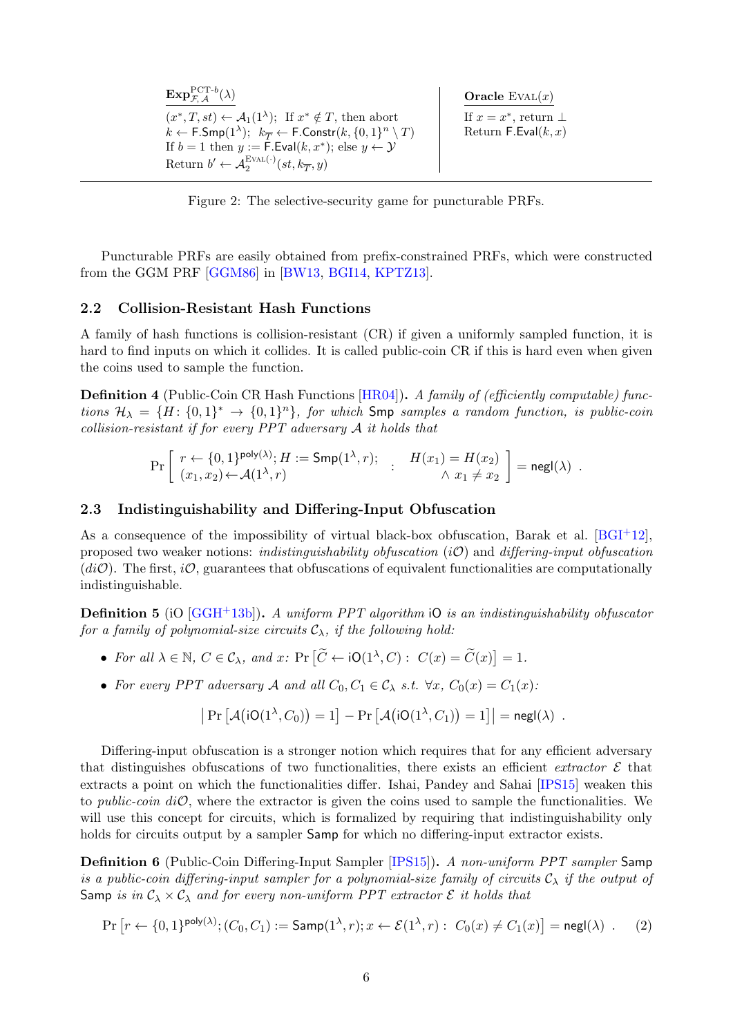| $\mathbf{Exp}_{\mathcal{F} A}^{\text{PCT-}b}(\lambda)$                                                                                                                                                    | Oracle $EVAL(x)$                                        |
|-----------------------------------------------------------------------------------------------------------------------------------------------------------------------------------------------------------|---------------------------------------------------------|
| $(x^*,T,st) \leftarrow \mathcal{A}_1(1^{\lambda});$ If $x^* \notin T$ , then abort<br>$k \leftarrow \mathsf{F.Smp}(1^{\lambda}); k_{\overline{T}} \leftarrow \mathsf{F.Constr}(k, \{0,1\}^n \setminus T)$ | If $x = x^*$ , return $\perp$<br>Return F.Eval $(k, x)$ |
| If $b = 1$ then $y := \mathsf{F}.\mathsf{Eval}(k, x^*)$ ; else $y \leftarrow y$                                                                                                                           |                                                         |
| Return $b' \leftarrow \mathcal{A}_2^{\text{EVAL}(\cdot)}(st, k_{\overline{T}}, y)$                                                                                                                        |                                                         |

<span id="page-5-0"></span>Figure 2: The selective-security game for puncturable PRFs.

Puncturable PRFs are easily obtained from prefix-constrained PRFs, which were constructed from the GGM PRF [\[GGM86\]](#page-15-0) in [\[BW13,](#page-14-0) [BGI14,](#page-14-1) [KPTZ13\]](#page-15-1).

### 2.2 Collision-Resistant Hash Functions

A family of hash functions is collision-resistant (CR) if given a uniformly sampled function, it is hard to find inputs on which it collides. It is called public-coin CR if this is hard even when given the coins used to sample the function.

**Definition 4** (Public-Coin CR Hash Functions  $[HR04]$ ). A family of (efficiently computable) functions  $\mathcal{H}_{\lambda} = \{H: \{0,1\}^* \to \{0,1\}^n\}$ , for which Smp samples a random function, is public-coin collision-resistant if for every PPT adversary A it holds that

$$
\Pr\left[\begin{array}{ll}r\leftarrow\{0,1\}^{\mathsf{poly}(\lambda)};H:=\mathsf{Smp}(1^\lambda,r);\quad \, : \quad H(x_1)=H(x_2)\\(x_1,x_2)\leftarrow\mathcal{A}(1^\lambda,r)\end{array}\right]:\quad \, H(x_1)=H(x_2)\quad \ \, \wedge \ x_1\neq x_2\end{array}\right]=\mathsf{negl}(\lambda)\enspace.
$$

### 2.3 Indistinguishability and Differing-Input Obfuscation

As a consequence of the impossibility of virtual black-box obfuscation, Barak et al. [\[BGI](#page-14-4)+12], proposed two weaker notions: *indistinguishability obfuscation*  $(iO)$  and *differing-input obfuscation*  $(d\mathcal{O})$ . The first,  $i\mathcal{O}$ , guarantees that obfuscations of equivalent functionalities are computationally indistinguishable.

<span id="page-5-1"></span>**Definition 5** (iQ  $[GGH^+13b]$  $[GGH^+13b]$ ). A uniform PPT algorithm iQ is an indistinguishability obfuscator for a family of polynomial-size circuits  $C_{\lambda}$ , if the following hold:

- For all  $\lambda \in \mathbb{N}$ ,  $C \in \mathcal{C}_{\lambda}$ , and  $x$ :  $\Pr\left[\widetilde{C} \leftarrow \text{iO}(1^{\lambda}, C) : C(x) = \widetilde{C}(x)\right] = 1$ .
- For every PPT adversary A and all  $C_0, C_1 \in \mathcal{C}_{\lambda}$  s.t.  $\forall x, C_0(x) = C_1(x)$ :

$$
\left| \Pr \left[ \mathcal{A} \big( iO(1^{\lambda}, C_0) \big) = 1 \right] - \Pr \left[ \mathcal{A} \big( iO(1^{\lambda}, C_1) \big) = 1 \right] \right| = \mathsf{negl}(\lambda) .
$$

Differing-input obfuscation is a stronger notion which requires that for any efficient adversary that distinguishes obfuscations of two functionalities, there exists an efficient extractor  $\mathcal E$  that extracts a point on which the functionalities differ. Ishai, Pandey and Sahai [\[IPS15\]](#page-15-11) weaken this to *public-coin diO*, where the extractor is given the coins used to sample the functionalities. We will use this concept for circuits, which is formalized by requiring that indistinguishability only holds for circuits output by a sampler Samp for which no differing-input extractor exists.

<span id="page-5-2"></span>**Definition 6** (Public-Coin Differing-Input Sampler [\[IPS15\]](#page-15-11)). A non-uniform PPT sampler Samp is a public-coin differing-input sampler for a polynomial-size family of circuits  $\mathcal{C}_{\lambda}$  if the output of Samp is in  $C_{\lambda} \times C_{\lambda}$  and for every non-uniform PPT extractor  $\mathcal E$  it holds that

$$
\Pr\left[r \leftarrow \{0,1\}^{\mathsf{poly}(\lambda)}; (C_0, C_1) := \mathsf{Samp}(1^{\lambda}, r); x \leftarrow \mathcal{E}(1^{\lambda}, r) : C_0(x) \neq C_1(x)\right] = \mathsf{negl}(\lambda) \quad . \tag{2}
$$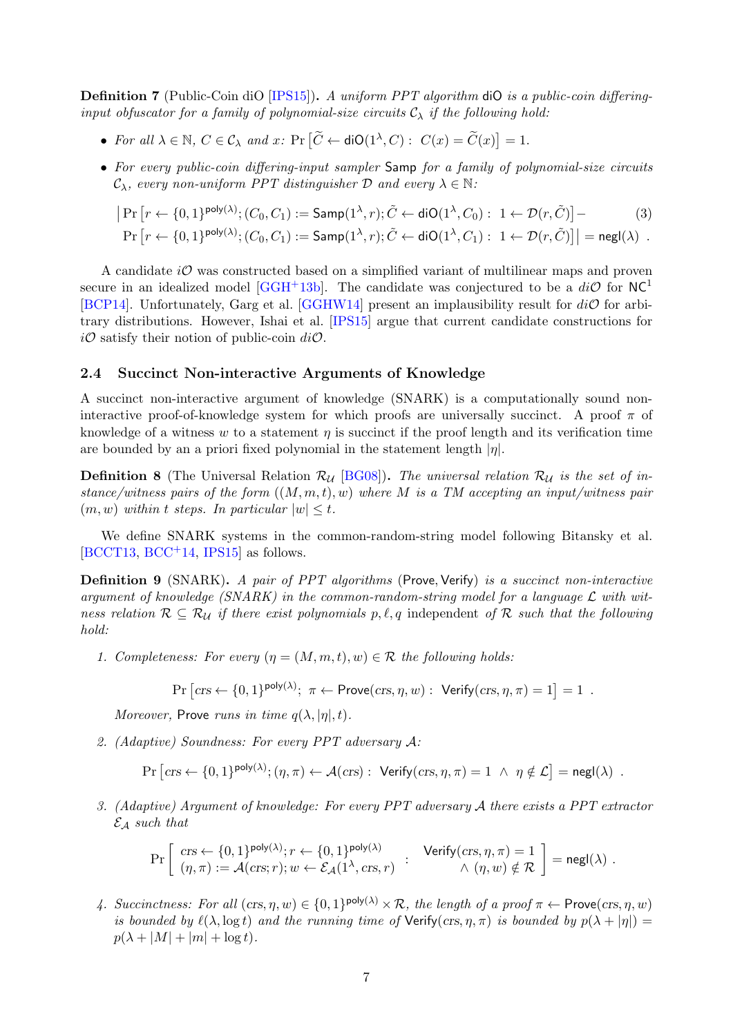<span id="page-6-2"></span>Definition 7 (Public-Coin diO [\[IPS15\]](#page-15-11)). A uniform PPT algorithm diO is a public-coin differinginput obfuscator for a family of polynomial-size circuits  $C_{\lambda}$  if the following hold:

- For all  $\lambda \in \mathbb{N}$ ,  $C \in \mathcal{C}_{\lambda}$  and  $x$ :  $\Pr\left[\widetilde{C} \leftarrow \text{diO}(1^{\lambda}, C) : C(x) = \widetilde{C}(x)\right] = 1$ .
- For every public-coin differing-input sampler Samp for a family of polynomial-size circuits  $\mathcal{C}_{\lambda}$ , every non-uniform PPT distinguisher D and every  $\lambda \in \mathbb{N}$ :

$$
\Pr\left[r \leftarrow \{0,1\}^{\text{poly}(\lambda)}; (C_0, C_1) := \text{Samp}(1^{\lambda}, r); \tilde{C} \leftarrow \text{diO}(1^{\lambda}, C_0): 1 \leftarrow \mathcal{D}(r, \tilde{C})\right] - \tag{3}
$$

$$
\Pr\left[r \leftarrow \{0,1\}^{\mathsf{poly}(\lambda)}; (C_0, C_1) := \mathsf{Samp}(1^\lambda, r); \tilde{C} \leftarrow \mathsf{diO}(1^\lambda, C_1): 1 \leftarrow \mathcal{D}(r, \tilde{C})\right]\right| = \mathsf{negl}(\lambda) \enspace .
$$

A candidate  $i\mathcal{O}$  was constructed based on a simplified variant of multilinear maps and proven secure in an idealized model [\[GGH](#page-14-5)+13b]. The candidate was conjectured to be a  $di\mathcal{O}$  for NC<sup>1</sup> [\[BCP14\]](#page-13-0). Unfortunately, Garg et al. [\[GGHW14\]](#page-14-13) present an implausibility result for  $di\mathcal{O}$  for arbitrary distributions. However, Ishai et al. [\[IPS15\]](#page-15-11) argue that current candidate constructions for  $i\mathcal{O}$  satisfy their notion of public-coin  $di\mathcal{O}$ .

### 2.4 Succinct Non-interactive Arguments of Knowledge

A succinct non-interactive argument of knowledge (SNARK) is a computationally sound noninteractive proof-of-knowledge system for which proofs are universally succinct. A proof  $\pi$  of knowledge of a witness w to a statement  $\eta$  is succinct if the proof length and its verification time are bounded by an a priori fixed polynomial in the statement length  $|\eta|$ .

<span id="page-6-0"></span>**Definition 8** (The Universal Relation  $\mathcal{R}_{\mathcal{U}}$  [\[BG08\]](#page-13-2)). The universal relation  $\mathcal{R}_{\mathcal{U}}$  is the set of instance/witness pairs of the form  $((M, m, t), w)$  where M is a TM accepting an input/witness pair  $(m, w)$  within t steps. In particular  $|w| \leq t$ .

We define SNARK systems in the common-random-string model following Bitansky et al.  $[BCCT13, BCC<sup>+</sup>14, IPS15]$  $[BCCT13, BCC<sup>+</sup>14, IPS15]$  $[BCCT13, BCC<sup>+</sup>14, IPS15]$  $[BCCT13, BCC<sup>+</sup>14, IPS15]$  $[BCCT13, BCC<sup>+</sup>14, IPS15]$  as follows.

<span id="page-6-1"></span>**Definition 9** (SNARK). A pair of PPT algorithms (Prove, Verify) is a succinct non-interactive argument of knowledge (SNARK) in the common-random-string model for a language  $\mathcal L$  with witness relation  $\mathcal{R} \subseteq \mathcal{R}_{\mathcal{U}}$  if there exist polynomials p,  $\ell, q$  independent of  $\mathcal{R}$  such that the following hold:

1. Completeness: For every  $(\eta = (M, m, t), w) \in \mathcal{R}$  the following holds:

$$
\Pr\left[\text{crs} \leftarrow \{0, 1\}^{\text{poly}(\lambda)}; \ \pi \leftarrow \text{Prove}(\text{crs}, \eta, w): \ \text{Verify}(\text{crs}, \eta, \pi) = 1\right] = 1 \ .
$$

Moreover, Prove runs in time  $q(\lambda, |\eta|, t)$ .

2. (Adaptive) Soundness: For every PPT adversary A:

$$
\Pr\left[\operatorname{crs} \leftarrow \{0,1\}^{\mathsf{poly}(\lambda)}; (\eta,\pi) \leftarrow \mathcal{A}(\operatorname{crs}) : \ \mathsf{Verify}(\operatorname{crs},\eta,\pi) = 1 \ \wedge \ \eta \notin \mathcal{L}\right] = \mathsf{negl}(\lambda) \ .
$$

<span id="page-6-3"></span>3. (Adaptive) Argument of knowledge: For every PPT adversary A there exists a PPT extractor  $\mathcal{E}_\mathcal{A}$  such that

$$
\Pr\left[\begin{array}{l} \mathit{crs} \leftarrow \{0,1\}^{\mathsf{poly}(\lambda)}; r \leftarrow \{0,1\}^{\mathsf{poly}(\lambda)} & \mathsf{Verify}(\mathit{crs},\eta,\pi) = 1\\ (\eta,\pi) := \mathcal{A}(\mathit{crs};r); w \leftarrow \mathcal{E}_{\mathcal{A}}(1^\lambda,\mathit{crs},r) & \wedge (\eta,w) \notin \mathcal{R} \end{array}\right] = {\sf negl}(\lambda) \; .
$$

4. Succinctness: For all  $px, \eta, w) \in \{0, 1\}^{\text{poly}(\lambda)} \times \mathcal{R}$ , the length of a proof  $\pi \leftarrow \text{Prove}(crs, \eta, w)$ is bounded by  $\ell(\lambda, \log t)$  and the running time of Verify(crs,  $\eta, \pi$ ) is bounded by  $p(\lambda + |\eta|) =$  $p(\lambda + |M| + |m| + \log t)$ .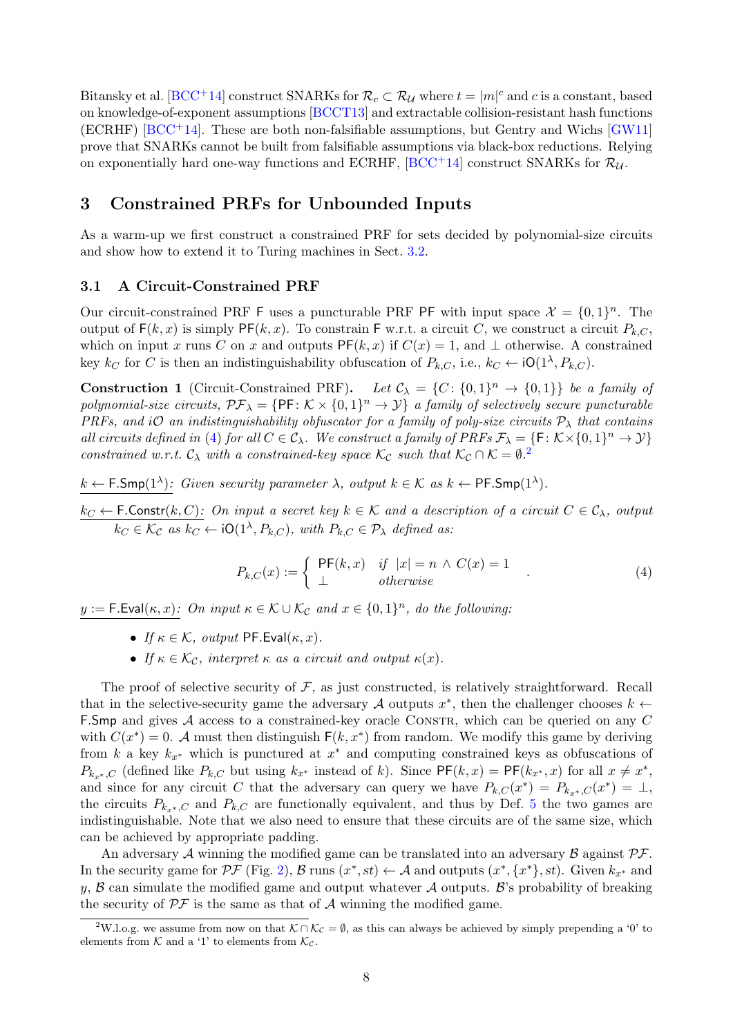Bitansky et al. [\[BCC](#page-13-4)+14] construct SNARKs for  $\mathcal{R}_c \subset \mathcal{R}_U$  where  $t = |m|^c$  and c is a constant, based on knowledge-of-exponent assumptions [\[BCCT13\]](#page-13-3) and extractable collision-resistant hash functions  $(ECRHF)$  [\[BCC](#page-13-4)<sup>+</sup>14]. These are both non-falsifiable assumptions, but Gentry and Wichs [\[GW11\]](#page-15-13) prove that SNARKs cannot be built from falsifiable assumptions via black-box reductions. Relying on exponentially hard one-way functions and ECRHF,  $[BCC^+14]$  $[BCC^+14]$  construct SNARKs for  $\mathcal{R}_{\mathcal{U}}$ .

# 3 Constrained PRFs for Unbounded Inputs

As a warm-up we first construct a constrained PRF for sets decided by polynomial-size circuits and show how to extend it to Turing machines in Sect. [3.2.](#page-8-0)

#### 3.1 A Circuit-Constrained PRF

Our circuit-constrained PRF F uses a puncturable PRF PF with input space  $\mathcal{X} = \{0, 1\}^n$ . The output of  $F(k, x)$  is simply PF $(k, x)$ . To constrain F w.r.t. a circuit C, we construct a circuit  $P_{k,C}$ , which on input x runs C on x and outputs  $PF(k, x)$  if  $C(x) = 1$ , and  $\perp$  otherwise. A constrained key  $k_C$  for C is then an indistinguishability obfuscation of  $P_{k,C}$ , i.e.,  $k_C \leftarrow \text{iO}(1^{\lambda}, P_{k,C})$ .

<span id="page-7-2"></span>**Construction 1** (Circuit-Constrained PRF). Let  $C_{\lambda} = \{C: \{0,1\}^n \to \{0,1\}\}\$ be a family of polynomial-size circuits,  $\mathcal{PF}_{\lambda} = \{ \mathsf{PF} : \mathcal{K} \times \{0,1\}^n \to \mathcal{Y} \}$  a family of selectively secure puncturable PRFs, and iO an indistinguishability obfuscator for a family of poly-size circuits  $P_{\lambda}$  that contains all circuits defined in [\(4\)](#page-7-0) for all  $C \in \mathcal{C}_{\lambda}$ . We construct a family of PRFs  $\mathcal{F}_{\lambda} = \{ \mathsf{F} \colon \mathcal{K} \times \{0,1\}^n \to \mathcal{Y} \}$ constrained w.r.t.  $\mathcal{C}_{\lambda}$  with a constrained-key space  $\mathcal{K}_{\mathcal{C}}$  such that  $\mathcal{K}_{\mathcal{C}} \cap \mathcal{K} = \emptyset$ .

 $k \leftarrow \mathsf{F.Smp}(1^{\lambda})$ : Given security parameter  $\lambda$ , output  $k \in \mathcal{K}$  as  $k \leftarrow \mathsf{PF.Smp}(1^{\lambda})$ .

 $k_C \leftarrow \mathsf{F}.\mathsf{Constr}(k, C)$ : On input a secret key  $k \in \mathcal{K}$  and a description of a circuit  $C \in \mathcal{C}_{\lambda}$ , output  $k_C \in \mathcal{K}_{\mathcal{C}}$  as  $k_C \leftarrow \text{iO}(1^{\lambda}, P_{k,C}),$  with  $P_{k,C} \in \mathcal{P}_{\lambda}$  defined as:

<span id="page-7-0"></span>
$$
P_{k,C}(x) := \begin{cases} \n\text{PF}(k,x) & \text{if } |x| = n \land C(x) = 1 \\ \n\perp & \text{otherwise} \n\end{cases} \tag{4}
$$

 $y := \mathsf{F}.\mathsf{Eval}(\kappa, x)$ : On input  $\kappa \in \mathcal{K} \cup \mathcal{K}_{\mathcal{C}}$  and  $x \in \{0, 1\}^n$ , do the following:

- If  $\kappa \in \mathcal{K}$ , output PF.Eval $(\kappa, x)$ .
- If  $\kappa \in \mathcal{K}_{\mathcal{C}}$ , interpret  $\kappa$  as a circuit and output  $\kappa(x)$ .

The proof of selective security of  $F$ , as just constructed, is relatively straightforward. Recall that in the selective-security game the adversary A outputs  $x^*$ , then the challenger chooses  $k \leftarrow$ F. Smp and gives A access to a constrained-key oracle CONSTR, which can be queried on any C with  $C(x^*) = 0$ . A must then distinguish  $F(k, x^*)$  from random. We modify this game by deriving from k a key  $k_{x^*}$  which is punctured at  $x^*$  and computing constrained keys as obfuscations of  $P_{k_{x^*},C}$  (defined like  $P_{k,C}$  but using  $k_{x^*}$  instead of k). Since  $\mathsf{PF}(k,x) = \mathsf{PF}(k_{x^*},x)$  for all  $x \neq x^*$ , and since for any circuit C that the adversary can query we have  $P_{k,C}(x^*) = P_{k_{x^*},C}(x^*) = \perp$ , the circuits  $P_{k,x}$ , c and  $P_{k,C}$  are functionally equivalent, and thus by Def. [5](#page-5-1) the two games are indistinguishable. Note that we also need to ensure that these circuits are of the same size, which can be achieved by appropriate padding.

An adversary  $A$  winning the modified game can be translated into an adversary  $B$  against  $\mathcal{PF}$ . In the security game for  $\mathcal{PF}$  (Fig. [2\)](#page-5-0), B runs  $(x^*, st) \leftarrow \mathcal{A}$  and outputs  $(x^*, \{x^*\}, st)$ . Given  $k_{x^*}$  and y,  $\beta$  can simulate the modified game and output whatever  $\mathcal A$  outputs.  $\mathcal B$ 's probability of breaking the security of  $\mathcal{PF}$  is the same as that of  $\mathcal A$  winning the modified game.

<span id="page-7-1"></span><sup>&</sup>lt;sup>2</sup>W.l.o.g. we assume from now on that  $K \cap \mathcal{K}_{\mathcal{C}} = \emptyset$ , as this can always be achieved by simply prepending a '0' to elements from  $K$  and a '1' to elements from  $\mathcal{K}_{\mathcal{C}}$ .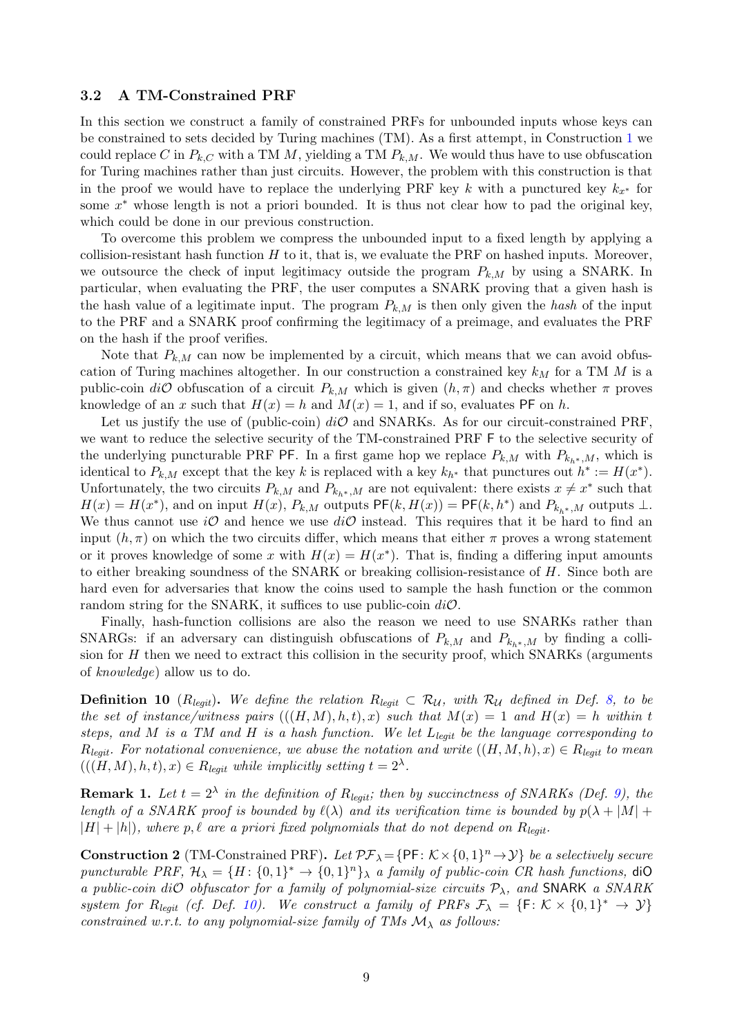#### <span id="page-8-0"></span>3.2 A TM-Constrained PRF

In this section we construct a family of constrained PRFs for unbounded inputs whose keys can be constrained to sets decided by Turing machines (TM). As a first attempt, in Construction [1](#page-7-2) we could replace C in  $P_{k,C}$  with a TM M, yielding a TM  $P_{k,M}$ . We would thus have to use obfuscation for Turing machines rather than just circuits. However, the problem with this construction is that in the proof we would have to replace the underlying PRF key k with a punctured key  $k_{x^*}$  for some  $x^*$  whose length is not a priori bounded. It is thus not clear how to pad the original key, which could be done in our previous construction.

To overcome this problem we compress the unbounded input to a fixed length by applying a collision-resistant hash function  $H$  to it, that is, we evaluate the PRF on hashed inputs. Moreover, we outsource the check of input legitimacy outside the program  $P_{k,M}$  by using a SNARK. In particular, when evaluating the PRF, the user computes a SNARK proving that a given hash is the hash value of a legitimate input. The program  $P_{k,M}$  is then only given the hash of the input to the PRF and a SNARK proof confirming the legitimacy of a preimage, and evaluates the PRF on the hash if the proof verifies.

Note that  $P_{k,M}$  can now be implemented by a circuit, which means that we can avoid obfuscation of Turing machines altogether. In our construction a constrained key  $k_M$  for a TM M is a public-coin  $di\mathcal{O}$  obfuscation of a circuit  $P_{k,M}$  which is given  $(h,\pi)$  and checks whether  $\pi$  proves knowledge of an x such that  $H(x) = h$  and  $M(x) = 1$ , and if so, evaluates PF on h.

Let us justify the use of (public-coin)  $di\mathcal{O}$  and SNARKs. As for our circuit-constrained PRF, we want to reduce the selective security of the TM-constrained PRF F to the selective security of the underlying puncturable PRF PF. In a first game hop we replace  $P_{k,M}$  with  $P_{k_{h^*},M}$ , which is identical to  $P_{k,M}$  except that the key k is replaced with a key  $k_{h^*}$  that punctures out  $h^* := H(x^*)$ . Unfortunately, the two circuits  $P_{k,M}$  and  $P_{k_h*,M}$  are not equivalent: there exists  $x \neq x^*$  such that  $H(x) = H(x^*)$ , and on input  $H(x)$ ,  $P_{k,M}$  outputs  $PF(k, H(x)) = PF(k, h^*)$  and  $P_{k,h^*,M}$  outputs  $\perp$ . We thus cannot use iO and hence we use  $di\mathcal{O}$  instead. This requires that it be hard to find an input  $(h, \pi)$  on which the two circuits differ, which means that either  $\pi$  proves a wrong statement or it proves knowledge of some x with  $H(x) = H(x^*)$ . That is, finding a differing input amounts to either breaking soundness of the SNARK or breaking collision-resistance of H. Since both are hard even for adversaries that know the coins used to sample the hash function or the common random string for the SNARK, it suffices to use public-coin  $di\mathcal{O}$ .

Finally, hash-function collisions are also the reason we need to use SNARKs rather than SNARGs: if an adversary can distinguish obfuscations of  $P_{k,M}$  and  $P_{k,*,M}$  by finding a collision for  $H$  then we need to extract this collision in the security proof, which SNARKs (arguments of knowledge) allow us to do.

<span id="page-8-1"></span>**Definition 10** ( $R_{\text{legit}}$ ). We define the relation  $R_{\text{legit}} \subset \mathcal{R}_{\mathcal{U}}$ , with  $\mathcal{R}_{\mathcal{U}}$  defined in Def. [8,](#page-6-0) to be the set of instance/witness pairs  $(((H, M), h, t), x)$  such that  $M(x) = 1$  and  $H(x) = h$  within t steps, and M is a TM and H is a hash function. We let  $L_{leqit}$  be the language corresponding to  $R_{\text{legit}}$ . For notational convenience, we abuse the notation and write  $((H, M, h), x) \in R_{\text{legit}}$  to mean  $(((H, M), h, t), x) \in R_{\text{legit}}$  while implicitly setting  $t = 2^{\lambda}$ .

<span id="page-8-2"></span>**Remark 1.** Let  $t = 2^{\lambda}$  in the definition of  $R_{legit}$ ; then by succinctness of SNARKs (Def. [9\)](#page-6-1), the length of a SNARK proof is bounded by  $\ell(\lambda)$  and its verification time is bounded by  $p(\lambda + |M| +$  $|H| + |h|$ , where p,  $\ell$  are a priori fixed polynomials that do not depend on  $R_{leq}$ 

<span id="page-8-3"></span>**Construction 2** (TM-Constrained PRF). Let  $\mathcal{PF}_{\lambda} = \{ \mathsf{PF} : \mathcal{K} \times \{0,1\}^n \to \mathcal{Y} \}$  be a selectively secure puncturable PRF,  $\mathcal{H}_{\lambda} = \{H: \{0,1\}^*\}\$ , a family of public-coin CR hash functions, diO a public-coin diO obfuscator for a family of polynomial-size circuits  $P_{\lambda}$ , and SNARK a SNARK system for  $R_{legit}$  (cf. Def. [10\)](#page-8-1). We construct a family of PRFs  $\mathcal{F}_{\lambda} = \{F: \mathcal{K} \times \{0,1\}^* \to \mathcal{Y}\}\$ constrained w.r.t. to any polynomial-size family of TMs  $\mathcal{M}_{\lambda}$  as follows: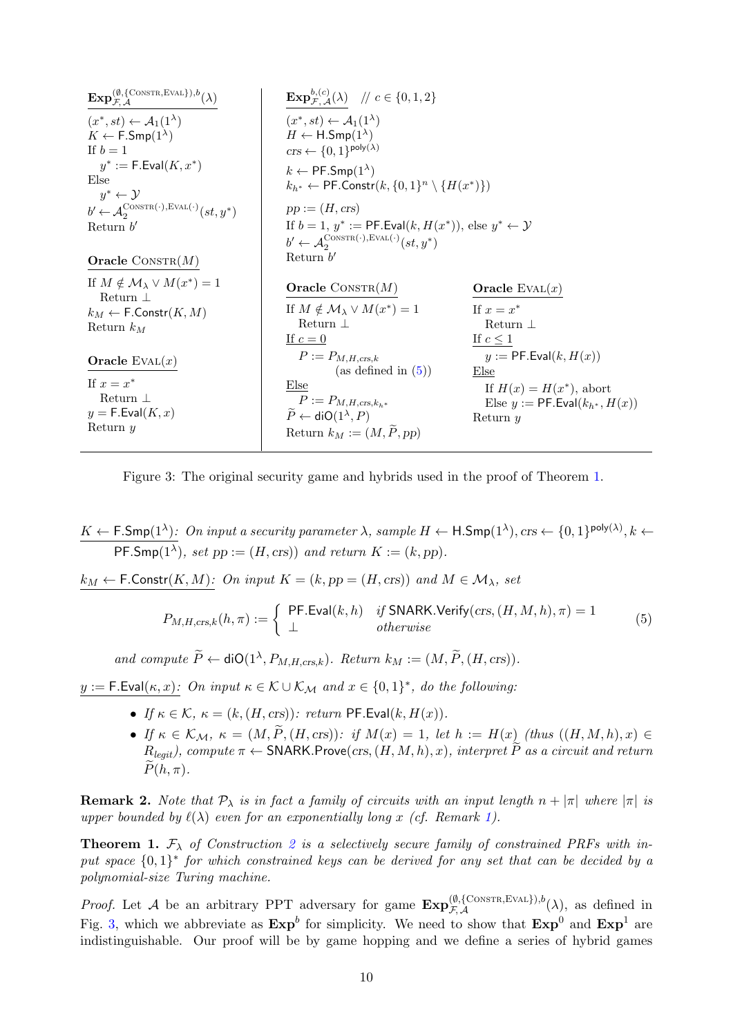| $\mathrm{Exp}_{\mathcal{F}^{\mathcal{A}}}^{(\emptyset, \{\mathrm{Cons}\mathrm{TR}, \mathrm{EVAL}\}), b}(\lambda)$    | <b>Exp</b> <sup>b<sub>,</sub>(c)</sup> <sub><math>\mathcal{F}</math></sub> , $\mathcal{A}(\lambda)$ // $c \in \{0, 1, 2\}$                                               |                                                                                                 |
|----------------------------------------------------------------------------------------------------------------------|--------------------------------------------------------------------------------------------------------------------------------------------------------------------------|-------------------------------------------------------------------------------------------------|
| $(x^*, st) \leftarrow \mathcal{A}_1(1^{\lambda})$<br>$K \leftarrow \mathsf{F}.\mathsf{Smp}(1^{\lambda})$<br>If $b=1$ | $(x^*, st) \leftarrow \mathcal{A}_1(1^{\lambda})$<br>$H \leftarrow H.Smp(1^{\lambda})$<br>$crs \leftarrow \{0,1\}^{\text{poly}(\lambda)}$                                |                                                                                                 |
| $y^* := \mathsf{F}.\mathsf{Eval}(K, x^*)$<br>Else<br>$y^* \leftarrow y$                                              | $k \leftarrow \text{PF.Smp}(1^{\lambda})$<br>$k_{h^*} \leftarrow \textsf{PF}.\textsf{Constr}(k, \{0,1\}^n \setminus \{H(x^*)\})$                                         |                                                                                                 |
| $b' \leftarrow \mathcal{A}_2^{\text{ConSTR}(\cdot), \text{EVAL}(\cdot)}(st, y^*)$                                    | $pp := (H, crs)$                                                                                                                                                         |                                                                                                 |
| Return $b'$                                                                                                          | If $b = 1$ , $y^* := \text{PF.Eval}(k, H(x^*))$ , else $y^* \leftarrow \mathcal{Y}$<br>$b' \leftarrow \mathcal{A}_2^{\text{ConsTR}(\cdot), \text{EVAL}(\cdot)}(st, y^*)$ |                                                                                                 |
| <b>Oracle</b> CONSTR $(M)$                                                                                           | Return $b'$                                                                                                                                                              |                                                                                                 |
| If $M \notin \mathcal{M}_\lambda \vee M(x^*) = 1$<br>Return $\perp$                                                  | <b>Oracle</b> CONSTR $(M)$                                                                                                                                               | Oracle $EVAL(x)$                                                                                |
| $k_M \leftarrow \mathsf{F}.\mathsf{Constr}(K,M)$                                                                     | If $M \notin \mathcal{M}_\lambda \vee M(x^*) = 1$<br>Return $\perp$                                                                                                      | If $x = x^*$<br>Return $\perp$                                                                  |
| Return $k_M$                                                                                                         | If $c=0$                                                                                                                                                                 | If $c \leq 1$                                                                                   |
| Oracle $EVAL(x)$                                                                                                     | $P := P_{M,H,crs,k}$                                                                                                                                                     | $y := \mathsf{PF.Eval}(k, H(x))$                                                                |
| If $x = x^*$<br>Return $\perp$<br>$y = F.Eval(K, x)$<br>Return y                                                     | (as defined in $(5)$ )<br>Else<br>$P := P_{M,H,crs,k_{h^*}}$<br>$P \leftarrow \text{diO}(1^{\lambda}, P)$<br>Return $k_M := (M, P, pp)$                                  | Else<br>If $H(x) = H(x^*)$ , abort<br>Else $y := \mathsf{PF.Eval}(k_{h^*}, H(x))$<br>Return $y$ |

<span id="page-9-2"></span>Figure 3: The original security game and hybrids used in the proof of Theorem [1.](#page-9-1)

 $K \leftarrow \mathsf{F.Smp}(1^{\lambda})$ : On input a security parameter  $\lambda$ , sample  $H \leftarrow \mathsf{H.Smp}(1^{\lambda})$ ,  $\text{crs} \leftarrow \{0,1\}^{\mathsf{poly}(\lambda)}, k \leftarrow$ **PF.Smp**(1<sup> $\lambda$ </sup>), set  $pp := (H, \text{crs})$  and return  $K := (k, pp)$ .

 $k_M \leftarrow \textsf{F-Constr}(K,M)$ : On input  $K = (k, pp = (H, crs))$  and  $M \in \mathcal{M}_{\lambda}$ , set

<span id="page-9-0"></span>
$$
P_{M,H,\text{crs},k}(h,\pi) := \begin{cases} \text{PF.Eval}(k,h) & \text{if SNARK}.\text{Verify}(cr, (H,M,h),\pi) = 1 \\ \perp & \text{otherwise} \end{cases} \tag{5}
$$

and compute  $\widetilde{P} \leftarrow \text{diO}(1^{\lambda}, P_{M,H,\text{crs},k})$ . Return  $k_M := (M, \widetilde{P}, (H, \text{crs}))$ .

 $y := \mathsf{F}.\mathsf{Eval}(\kappa, x)$ : On input  $\kappa \in \mathcal{K} \cup \mathcal{K}_{\mathcal{M}}$  and  $x \in \{0, 1\}^*$ , do the following:

- If  $\kappa \in \mathcal{K}$ ,  $\kappa = (k, (H, crs))$ : return PF.Eval $(k, H(x))$ .
- If  $\kappa \in \mathcal{K}_{\mathcal{M}}, \ \kappa = (M, P, (H, crs))$ : if  $M(x) = 1$ , let  $h := H(x)$  (thus  $((H, M, h), x) \in$  $R_{\text{legit}}$ ), compute  $\pi \leftarrow \text{SNARK.Prove}(\text{crs},(H,M,h),x)$ , interpret P as a circuit and return  $P(h,\pi)$ .

**Remark 2.** Note that  $P_{\lambda}$  is in fact a family of circuits with an input length  $n + |\pi|$  where  $|\pi|$  is upper bounded by  $\ell(\lambda)$  even for an exponentially long x (cf. Remark [1\)](#page-8-2).

<span id="page-9-1"></span>**Theorem 1.**  $\mathcal{F}_{\lambda}$  of Construction [2](#page-8-3) is a selectively secure family of constrained PRFs with input space  $\{0,1\}^*$  for which constrained keys can be derived for any set that can be decided by a polynomial-size Turing machine.

*Proof.* Let A be an arbitrary PPT adversary for game  $\mathbf{Exp}_{\mathcal{F},\mathcal{A}}^{(\emptyset,\{\text{Constr},\text{EVAL}\}),b}(\lambda)$ , as defined in Fig. [3,](#page-9-2) which we abbreviate as  $\text{Exp}^b$  for simplicity. We need to show that  $\text{Exp}^0$  and  $\text{Exp}^1$  are indistinguishable. Our proof will be by game hopping and we define a series of hybrid games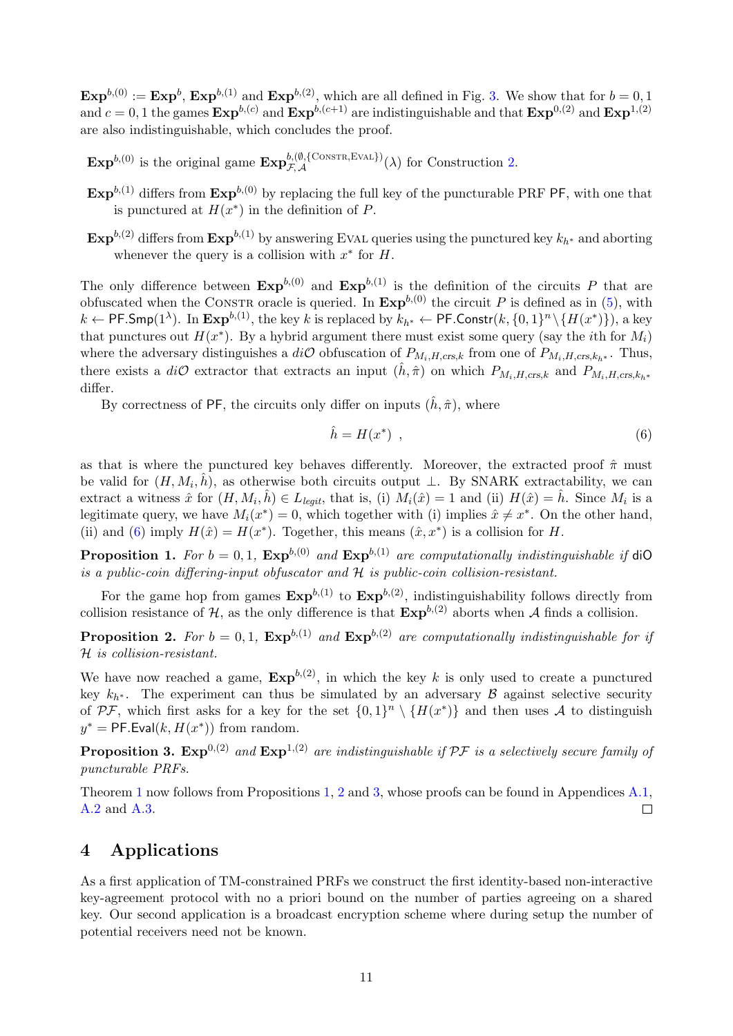$\text{Exp}^{b,(0)} := \text{Exp}^b$ ,  $\text{Exp}^{b,(1)}$  and  $\text{Exp}^{b,(2)}$ , which are all defined in Fig. [3.](#page-9-2) We show that for  $b = 0, 1$ and  $c = 0, 1$  the games  $\text{Exp}^{b,(c)}$  and  $\text{Exp}^{b,(c+1)}$  are indistinguishable and that  $\text{Exp}^{0,(2)}$  and  $\text{Exp}^{1,(2)}$ are also indistinguishable, which concludes the proof.

 $\text{Exp}^{b,(0)}$  is the original game  $\text{Exp}_{\mathcal{F},\mathcal{A}}^{b,(0,\{\text{CONSTR},\text{EVAL}\}}(\lambda)$  for Construction [2.](#page-8-3)

- $\text{Exp}^{b,(1)}$  differs from  $\text{Exp}^{b,(0)}$  by replacing the full key of the puncturable PRF PF, with one that is punctured at  $H(x^*)$  in the definition of P.
- $\text{Exp}^{b,(2)}$  differs from  $\text{Exp}^{b,(1)}$  by answering EVAL queries using the punctured key  $k_{h^*}$  and aborting whenever the query is a collision with  $x^*$  for  $H$ .

The only difference between  $\text{Exp}^{b,(0)}$  and  $\text{Exp}^{b,(1)}$  is the definition of the circuits P that are obfuscated when the CONSTR oracle is queried. In  $\text{Exp}^{b,(0)}$  the circuit P is defined as in [\(5\)](#page-9-0), with  $k \leftarrow \mathsf{PF.Smp}(1^\lambda).$  In  $\mathbf{Exp}^{b,(1)},$  the key  $k$  is replaced by  $k_{h^*} \leftarrow \mathsf{PF.Constr}(k, \{0,1\}^n \setminus \{H(x^*)\}),$  a key that punctures out  $H(x^*)$ . By a hybrid argument there must exist some query (say the *i*th for  $M_i$ ) where the adversary distinguishes a  $di\mathcal{O}$  obfuscation of  $P_{M_i,H,\text{crs},k}$  from one of  $P_{M_i,H,\text{crs},k_h*}$ . Thus, there exists a diO extractor that extracts an input  $(\hat{h}, \hat{\pi})$  on which  $P_{M_i,H,crs,k}$  and  $P_{M_i,H,crs,k_h*}$ differ.

By correctness of PF, the circuits only differ on inputs  $(\hat{h}, \hat{\pi})$ , where

<span id="page-10-0"></span>
$$
\hat{h} = H(x^*) \tag{6}
$$

as that is where the punctured key behaves differently. Moreover, the extracted proof  $\hat{\pi}$  must be valid for  $(H, M_i, \hat{h})$ , as otherwise both circuits output  $\perp$ . By SNARK extractability, we can extract a witness  $\hat{x}$  for  $(H, M_i, \hat{h}) \in L_{legit}$ , that is, (i)  $M_i(\hat{x}) = 1$  and (ii)  $H(\hat{x}) = \hat{h}$ . Since  $M_i$  is a legitimate query, we have  $M_i(x^*) = 0$ , which together with (i) implies  $\hat{x} \neq x^*$ . On the other hand, (ii) and [\(6\)](#page-10-0) imply  $H(\hat{x}) = H(x^*)$ . Together, this means  $(\hat{x}, x^*)$  is a collision for H.

<span id="page-10-1"></span>**Proposition 1.** For  $b = 0, 1$ ,  $\mathbf{Exp}^{b,(0)}$  and  $\mathbf{Exp}^{b,(1)}$  are computationally indistinguishable if diO is a public-coin differing-input obfuscator and  $H$  is public-coin collision-resistant.

For the game hop from games  $\text{Exp}^{b,(1)}$  to  $\text{Exp}^{b,(2)}$ , indistinguishability follows directly from collision resistance of  $H$ , as the only difference is that  $\exp^{b,(2)}$  aborts when A finds a collision.

<span id="page-10-2"></span>**Proposition 2.** For  $b = 0, 1$ ,  $\mathbf{Exp}^{b,(1)}$  and  $\mathbf{Exp}^{b,(2)}$  are computationally indistinguishable for if H is collision-resistant.

We have now reached a game,  $\text{Exp}^{b,(2)}$ , in which the key k is only used to create a punctured key  $k_{h^*}$ . The experiment can thus be simulated by an adversary  $\beta$  against selective security of PF, which first asks for a key for the set  $\{0,1\}^n \setminus \{H(x^*)\}$  and then uses A to distinguish  $y^* = \textsf{PF.Eval}(k, H(x^*))$  from random.

<span id="page-10-3"></span>**Proposition 3. Exp**<sup>0,(2)</sup> and  $\text{Exp}^{1,(2)}$  are indistinguishable if PF is a selectively secure family of puncturable PRFs.

Theorem [1](#page-9-1) now follows from Propositions [1,](#page-10-1) [2](#page-10-2) and [3,](#page-10-3) whose proofs can be found in Appendices [A.1,](#page-16-0) [A.2](#page-18-0) and [A.3.](#page-18-1)  $\Box$ 

# 4 Applications

As a first application of TM-constrained PRFs we construct the first identity-based non-interactive key-agreement protocol with no a priori bound on the number of parties agreeing on a shared key. Our second application is a broadcast encryption scheme where during setup the number of potential receivers need not be known.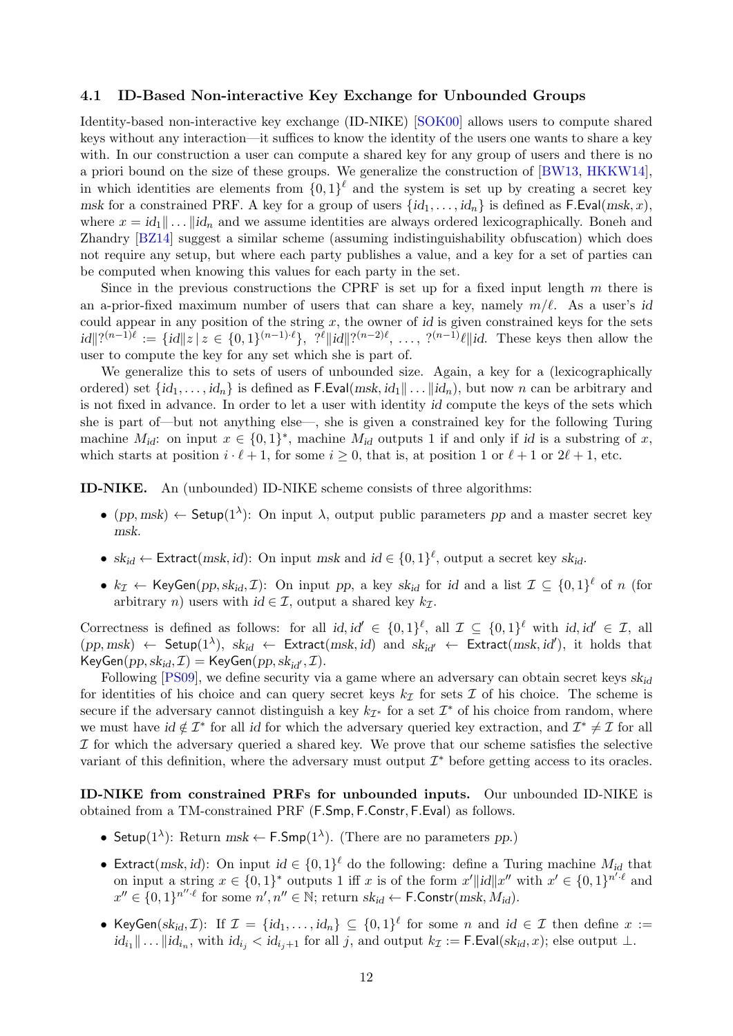#### 4.1 ID-Based Non-interactive Key Exchange for Unbounded Groups

Identity-based non-interactive key exchange (ID-NIKE) [\[SOK00\]](#page-15-6) allows users to compute shared keys without any interaction—it suffices to know the identity of the users one wants to share a key with. In our construction a user can compute a shared key for any group of users and there is no a priori bound on the size of these groups. We generalize the construction of [\[BW13,](#page-14-0) [HKKW14\]](#page-15-9), in which identities are elements from  $\{0,1\}^{\ell}$  and the system is set up by creating a secret key msk for a constrained PRF. A key for a group of users  $\{id_1, \ldots, id_n\}$  is defined as F.Eval(msk, x), where  $x = id_1 \, || \, ... \, ||id_n$  and we assume identities are always ordered lexicographically. Boneh and Zhandry [\[BZ14\]](#page-14-14) suggest a similar scheme (assuming indistinguishability obfuscation) which does not require any setup, but where each party publishes a value, and a key for a set of parties can be computed when knowing this values for each party in the set.

Since in the previous constructions the CPRF is set up for a fixed input length  $m$  there is an a-prior-fixed maximum number of users that can share a key, namely  $m/\ell$ . As a user's id could appear in any position of the string  $x$ , the owner of id is given constrained keys for the sets  $\|id\|^{2(n-1)\ell} := \{id\|z\|z \in \{0,1\}^{(n-1)\ell}\},\; \mathcal{C}^{\ell} \|id\|^{2(n-2)\ell},\; \ldots,\; \mathcal{C}^{(n-1)\ell} \|id.$  These keys then allow the user to compute the key for any set which she is part of.

We generalize this to sets of users of unbounded size. Again, a key for a (lexicographically ordered) set  $\{id_1, \ldots, id_n\}$  is defined as F.Eval(msk,  $id_1 \| \ldots ||id_n$ ), but now n can be arbitrary and is not fixed in advance. In order to let a user with identity id compute the keys of the sets which she is part of—but not anything else—, she is given a constrained key for the following Turing machine  $M_{id}$ : on input  $x \in \{0,1\}^*$ , machine  $M_{id}$  outputs 1 if and only if id is a substring of x, which starts at position  $i \cdot \ell + 1$ , for some  $i \ge 0$ , that is, at position 1 or  $\ell + 1$  or  $2\ell + 1$ , etc.

ID-NIKE. An (unbounded) ID-NIKE scheme consists of three algorithms:

- (pp, msk)  $\leftarrow$  Setup(1<sup> $\lambda$ </sup>): On input  $\lambda$ , output public parameters pp and a master secret key msk.
- $sk_{id} \leftarrow$  Extract(msk, id): On input msk and  $id \in \{0,1\}^{\ell}$ , output a secret key  $sk_{id}$ .
- $k_{\mathcal{I}} \leftarrow$  KeyGen $(pp, sk_{id}, \mathcal{I})$ : On input pp, a key  $sk_{id}$  for id and a list  $\mathcal{I} \subseteq \{0,1\}^{\ell}$  of n (for arbitrary n) users with  $id \in \mathcal{I}$ , output a shared key  $k_{\mathcal{I}}$ .

Correctness is defined as follows: for all id,  $id' \in \{0,1\}^{\ell}$ , all  $\mathcal{I} \subseteq \{0,1\}^{\ell}$  with  $id, id' \in \mathcal{I}$ , all  $(pp, msk) \leftarrow$  Setup $(1^{\lambda})$ ,  $sk_{id} \leftarrow$  Extract $(msk, id)$  and  $sk_{id'} \leftarrow$  Extract $(msk, id')$ , it holds that  $KeyGen(pp, sk_{id}, \mathcal{I}) = KeyGen(pp, sk_{id'}, \mathcal{I}).$ 

Following [\[PS09\]](#page-15-14), we define security via a game where an adversary can obtain secret keys  $sk_{id}$ for identities of his choice and can query secret keys  $k<sub>\mathcal{I}</sub>$  for sets  $\mathcal I$  of his choice. The scheme is secure if the adversary cannot distinguish a key  $k_{\mathcal{I}^*}$  for a set  $\mathcal{I}^*$  of his choice from random, where we must have  $id \notin \mathcal{I}^*$  for all id for which the adversary queried key extraction, and  $\mathcal{I}^* \neq \mathcal{I}$  for all  $I$  for which the adversary queried a shared key. We prove that our scheme satisfies the selective variant of this definition, where the adversary must output  $\mathcal{I}^*$  before getting access to its oracles.

ID-NIKE from constrained PRFs for unbounded inputs. Our unbounded ID-NIKE is obtained from a TM-constrained PRF (F.Smp, F.Constr, F.Eval) as follows.

- Setup( $1^{\lambda}$ ): Return msk  $\leftarrow$  F.Smp( $1^{\lambda}$ ). (There are no parameters pp.)
- Extract(msk, id): On input  $id \in \{0,1\}^{\ell}$  do the following: define a Turing machine  $M_{id}$  that on input a string  $x \in \{0,1\}^*$  outputs 1 iff x is of the form  $x' || id || x''$  with  $x' \in \{0,1\}^{n' \cdot \ell}$  and  $x'' \in \{0,1\}^{n''\cdot \ell}$  for some  $n', n'' \in \mathbb{N}$ ; return  $sk_{id} \leftarrow \mathsf{F}.\mathsf{Constr}(msk, M_{id}).$
- KeyGen(sk<sub>id</sub>, *I*): If  $\mathcal{I} = \{id_1, \ldots, id_n\} \subseteq \{0,1\}^{\ell}$  for some *n* and  $id \in \mathcal{I}$  then define  $x :=$  $id_{i_1} \| \ldots \| id_{i_n}$ , with  $id_{i_j} < id_{i_j+1}$  for all j, and output  $k_{\mathcal{I}} := \mathsf{F}.\mathsf{Eval}(sk_{id}, x)$ ; else output  $\perp$ .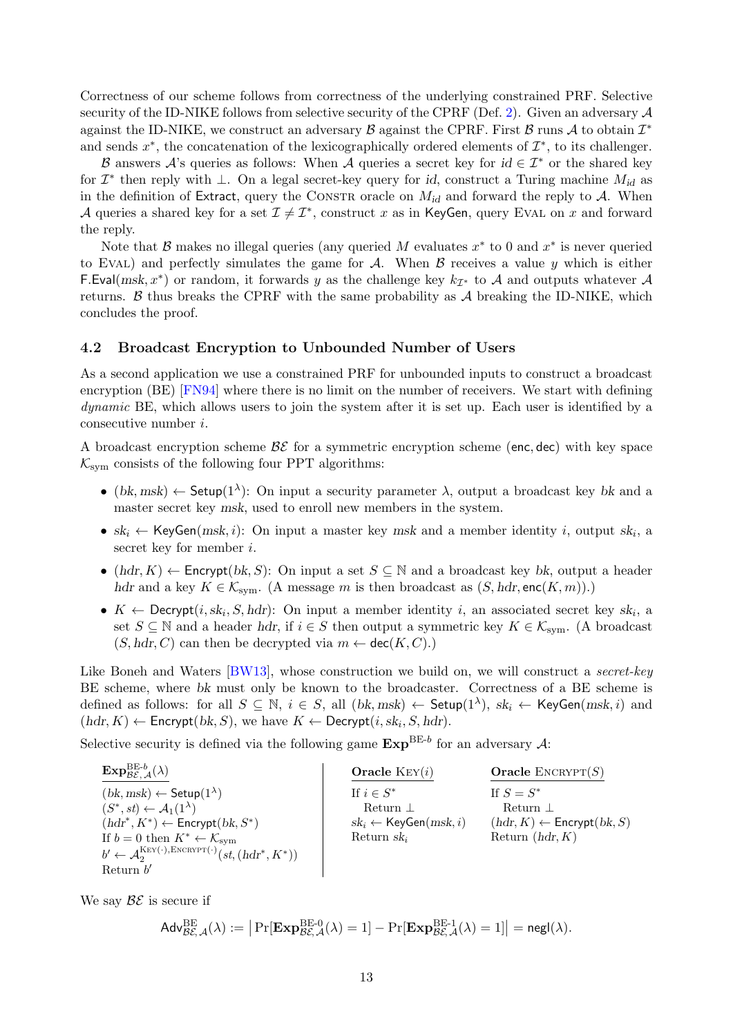Correctness of our scheme follows from correctness of the underlying constrained PRF. Selective security of the ID-NIKE follows from selective security of the CPRF (Def. [2\)](#page-4-2). Given an adversary  $\mathcal A$ against the ID-NIKE, we construct an adversary  $\beta$  against the CPRF. First  $\beta$  runs  $\mathcal A$  to obtain  $\mathcal I^*$ and sends  $x^*$ , the concatenation of the lexicographically ordered elements of  $\mathcal{I}^*$ , to its challenger.

B answers A's queries as follows: When A queries a secret key for  $id \in \mathcal{I}^*$  or the shared key for  $\mathcal{I}^*$  then reply with  $\perp$ . On a legal secret-key query for *id*, construct a Turing machine  $M_{id}$  as in the definition of Extract, query the CONSTR oracle on  $M_{id}$  and forward the reply to A. When A queries a shared key for a set  $\mathcal{I} \neq \mathcal{I}^*$ , construct x as in KeyGen, query EVAL on x and forward the reply.

Note that  $\mathcal{B}$  makes no illegal queries (any queried M evaluates  $x^*$  to 0 and  $x^*$  is never queried to EVAL) and perfectly simulates the game for  $A$ . When  $B$  receives a value y which is either F.Eval(msk, x<sup>\*</sup>) or random, it forwards y as the challenge key  $k_{\mathcal{I}^*}$  to A and outputs whatever A returns.  $\beta$  thus breaks the CPRF with the same probability as  $\mathcal A$  breaking the ID-NIKE, which concludes the proof.

#### 4.2 Broadcast Encryption to Unbounded Number of Users

As a second application we use a constrained PRF for unbounded inputs to construct a broadcast encryption (BE) [\[FN94\]](#page-14-6) where there is no limit on the number of receivers. We start with defining dynamic BE, which allows users to join the system after it is set up. Each user is identified by a consecutive number i.

A broadcast encryption scheme  $\mathcal{BE}$  for a symmetric encryption scheme (enc, dec) with key space  $\mathcal{K}_{sym}$  consists of the following four PPT algorithms:

- (bk, msk)  $\leftarrow$  Setup(1<sup> $\lambda$ </sup>): On input a security parameter  $\lambda$ , output a broadcast key bk and a master secret key msk, used to enroll new members in the system.
- $sk_i \leftarrow \text{KeyGen}(\text{msk}, i)$ : On input a master key msk and a member identity i, output  $sk_i$ , a secret key for member i.
- (hdr, K)  $\leftarrow$  Encrypt(bk, S): On input a set  $S \subseteq \mathbb{N}$  and a broadcast key bk, output a header hdr and a key  $K \in \mathcal{K}_{sym}$ . (A message m is then broadcast as  $(S, \text{hdr}, \text{enc}(K, m))$ .)
- $K \leftarrow$  Decrypt $(i, sk_i, S, hdr)$ : On input a member identity i, an associated secret key sk<sub>i</sub>, a set  $S \subseteq \mathbb{N}$  and a header hdr, if  $i \in S$  then output a symmetric key  $K \in \mathcal{K}_{sym}$ . (A broadcast  $(S, \text{hdr}, C)$  can then be decrypted via  $m \leftarrow \text{dec}(K, C)$ .

Like Boneh and Waters [\[BW13\]](#page-14-0), whose construction we build on, we will construct a *secret-key* BE scheme, where bk must only be known to the broadcaster. Correctness of a BE scheme is defined as follows: for all  $S \subseteq \mathbb{N}$ ,  $i \in S$ , all  $(bk, msk) \leftarrow$  Setup $(1^{\lambda})$ ,  $sk_i \leftarrow$  KeyGen $(msk, i)$  and  $(hdr, K) \leftarrow$  Encrypt $(bk, S)$ , we have  $K \leftarrow$  Decrypt $(i, sk_i, S, hdr)$ .

Selective security is defined via the following game  $\text{Exp}^{\text{BE-}b}$  for an adversary A:

| $\mathbf{Exp}_{\mathcal{BEA}}^{\mathrm{BE-}b}(\lambda)$                                     | Oracle $Ker(i)$                           | <b>Oracle</b> ENCRYPT $(S)$             |
|---------------------------------------------------------------------------------------------|-------------------------------------------|-----------------------------------------|
| $(bk, msk) \leftarrow$ Setup $(1^{\lambda})$                                                | If $i \in S^*$                            | If $S = S^*$                            |
| $(S^*, st) \leftarrow \mathcal{A}_1(1^{\lambda})$                                           | Return $\perp$                            | Return $\perp$                          |
| $(hdr^*, K^*) \leftarrow$ Encrypt $(bk, S^*)$                                               | $sk_i \leftarrow \mathsf{KeyGen}(msk, i)$ | $(hdr, K) \leftarrow$ Encrypt $(bk, S)$ |
| If $b = 0$ then $K^* \leftarrow \mathcal{K}_{\text{sym}}$                                   | Return $sk_i$                             | Return $(hdr, K)$                       |
| $b' \leftarrow \mathcal{A}_2^{\text{KEY}(\cdot), \text{EXECRYPT}(\cdot)}(st, (hdr^*, K^*))$ |                                           |                                         |
| Return $b'$                                                                                 |                                           |                                         |

We say  $\mathcal{BE}$  is secure if

$$
\mathsf{Adv}_{\mathcal{BE},\mathcal{A}}^{\mathrm{BE}}(\lambda) := \big| \Pr[\mathbf{Exp}_{\mathcal{BE},\mathcal{A}}^{\mathrm{BE-0}}(\lambda) = 1] - \Pr[\mathbf{Exp}_{\mathcal{BE},\mathcal{A}}^{\mathrm{BE-1}}(\lambda) = 1] \big| = \mathsf{negl}(\lambda).
$$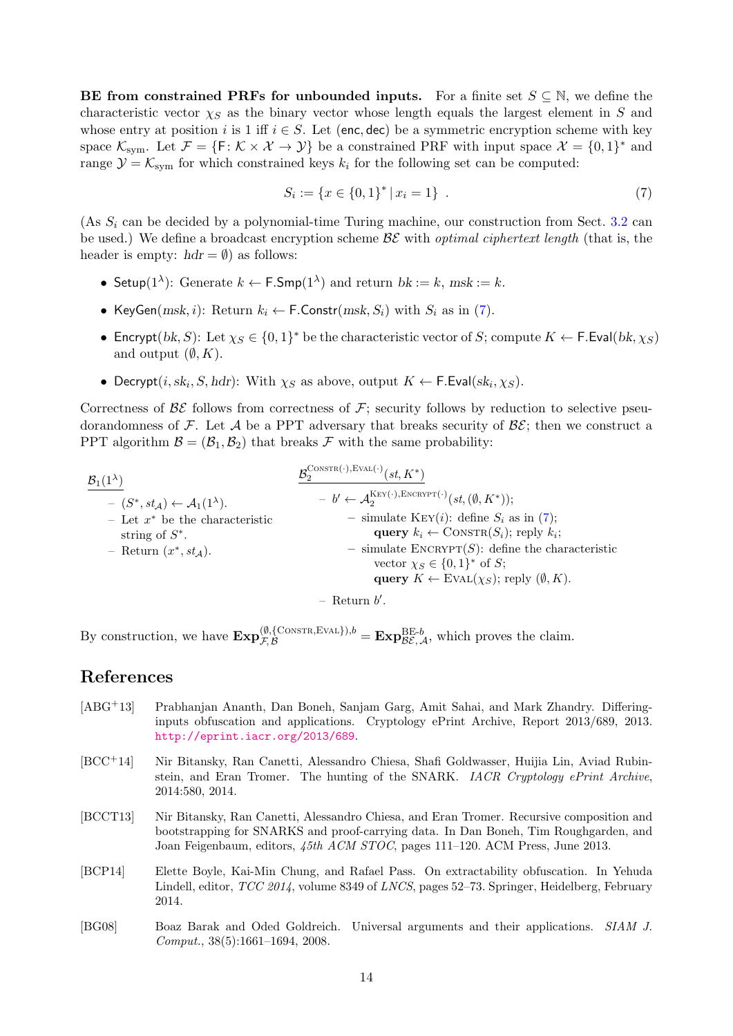**BE from constrained PRFs for unbounded inputs.** For a finite set  $S \subseteq \mathbb{N}$ , we define the characteristic vector  $\chi_S$  as the binary vector whose length equals the largest element in S and whose entry at position i is 1 iff  $i \in S$ . Let (enc, dec) be a symmetric encryption scheme with key space  $\mathcal{K}_{sym}$ . Let  $\mathcal{F} = \{F : \mathcal{K} \times \mathcal{X} \to \mathcal{Y}\}\$ be a constrained PRF with input space  $\mathcal{X} = \{0,1\}^*$  and range  $\mathcal{Y} = \mathcal{K}_{sym}$  for which constrained keys  $k_i$  for the following set can be computed:

<span id="page-13-5"></span>
$$
S_i := \{ x \in \{0,1\}^* \mid x_i = 1 \} . \tag{7}
$$

(As  $S_i$  can be decided by a polynomial-time Turing machine, our construction from Sect. [3.2](#page-8-0) can be used.) We define a broadcast encryption scheme  $\mathcal{BE}$  with *optimal ciphertext length* (that is, the header is empty:  $hdr = \emptyset$  as follows:

- Setup( $1^{\lambda}$ ): Generate  $k \leftarrow \text{F-Smp}(1^{\lambda})$  and return  $bk := k$ , msk := k.
- KeyGen(msk, i): Return  $k_i \leftarrow \textsf{F}.\textsf{Constr}(msk, S_i)$  with  $S_i$  as in [\(7\)](#page-13-5).
- Encrypt $(bk, S)$ : Let  $\chi_S \in \{0, 1\}^*$  be the characteristic vector of S; compute  $K \leftarrow \mathsf{F}$ . Eval $(bk, \chi_S)$ and output  $(\emptyset, K)$ .
- Decrypt(*i*,  $sk_i$ , *S*, *hdr*): With  $\chi_S$  as above, output  $K \leftarrow \textsf{F.Eval}(sk_i, \chi_S)$ .

Correctness of  $\mathcal{B}\mathcal{E}$  follows from correctness of  $\mathcal{F}$ ; security follows by reduction to selective pseudorandomness of F. Let A be a PPT adversary that breaks security of  $\mathcal{BE}$ ; then we construct a PPT algorithm  $\mathcal{B} = (\mathcal{B}_1, \mathcal{B}_2)$  that breaks  $\mathcal F$  with the same probability:

| $B_1(1^{\lambda})$                                    | $\mathcal{R}^{\text{CONSTR}(\cdot),\text{EVAL}(\cdot)}(st,K^*)$                                   |  |
|-------------------------------------------------------|---------------------------------------------------------------------------------------------------|--|
| $ (S^*, st_A) \leftarrow \mathcal{A}_1(1^{\lambda}).$ | $- b' \leftarrow \mathcal{A}_2^{\text{KEY}(\cdot), \text{ENCRYPT}(\cdot)}(st, (\emptyset, K^*));$ |  |
| - Let $x^*$ be the characteristic                     | - simulate KEY( <i>i</i> ): define $S_i$ as in (7);                                               |  |
| string of $S^*$ .                                     | query $k_i \leftarrow \text{CONSTR}(S_i)$ ; reply $k_i$ ;                                         |  |
| - Return $(x^*, st_A)$ .                              | - simulate $\text{ENCRYPT}(S)$ : define the characteristic                                        |  |
|                                                       | vector $\chi_S \in \{0,1\}^*$ of S;                                                               |  |
|                                                       | query $K \leftarrow$ EVAL $(\chi_S)$ ; reply $(\emptyset, K)$ .                                   |  |
| $-$ Return $b'$ .                                     |                                                                                                   |  |

By construction, we have  $\mathbf{Exp}_{\mathcal{F},\mathcal{B}}^{(\emptyset,\{\text{CONSTR},\text{EVAL}\}),b} = \mathbf{Exp}_{\mathcal{BE},\mathcal{A}}^{\text{BE-}b}$ , which proves the claim.

# References

- <span id="page-13-1"></span>[ABG+13] Prabhanjan Ananth, Dan Boneh, Sanjam Garg, Amit Sahai, and Mark Zhandry. Differinginputs obfuscation and applications. Cryptology ePrint Archive, Report 2013/689, 2013. <http://eprint.iacr.org/2013/689>.
- <span id="page-13-4"></span>[BCC<sup>+</sup>14] Nir Bitansky, Ran Canetti, Alessandro Chiesa, Shafi Goldwasser, Huijia Lin, Aviad Rubinstein, and Eran Tromer. The hunting of the SNARK. IACR Cryptology ePrint Archive, 2014:580, 2014.
- <span id="page-13-3"></span>[BCCT13] Nir Bitansky, Ran Canetti, Alessandro Chiesa, and Eran Tromer. Recursive composition and bootstrapping for SNARKS and proof-carrying data. In Dan Boneh, Tim Roughgarden, and Joan Feigenbaum, editors, 45th ACM STOC, pages 111–120. ACM Press, June 2013.
- <span id="page-13-0"></span>[BCP14] Elette Boyle, Kai-Min Chung, and Rafael Pass. On extractability obfuscation. In Yehuda Lindell, editor, *TCC 2014*, volume 8349 of *LNCS*, pages 52–73. Springer, Heidelberg, February 2014.
- <span id="page-13-2"></span>[BG08] Boaz Barak and Oded Goldreich. Universal arguments and their applications. SIAM J. Comput., 38(5):1661–1694, 2008.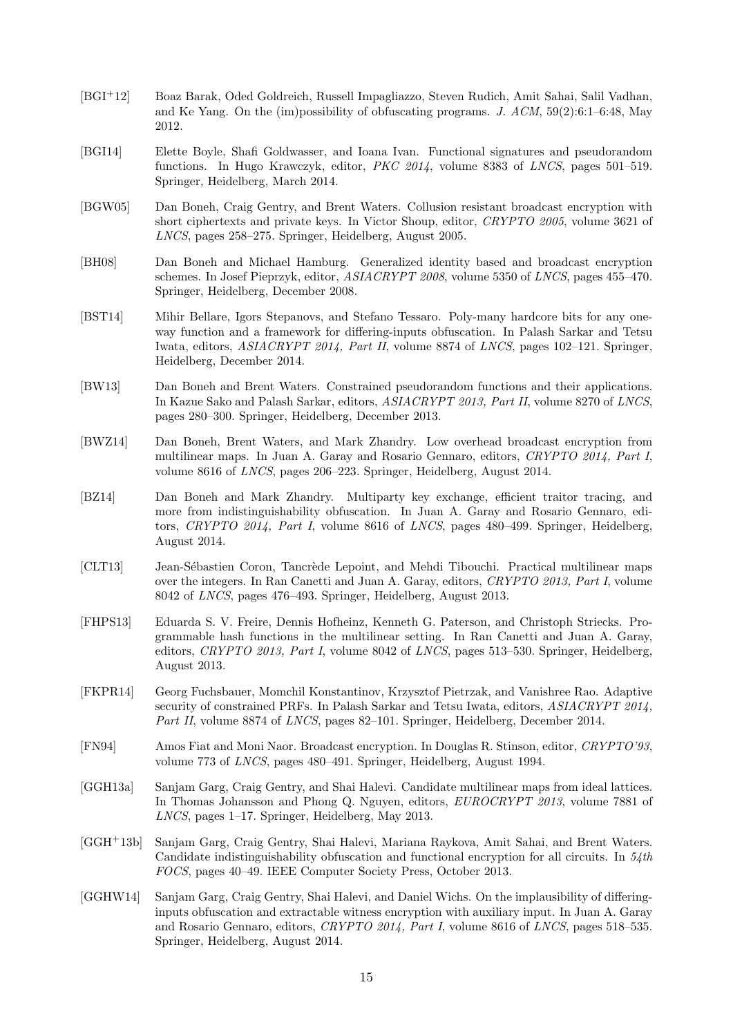- <span id="page-14-4"></span>[BGI+12] Boaz Barak, Oded Goldreich, Russell Impagliazzo, Steven Rudich, Amit Sahai, Salil Vadhan, and Ke Yang. On the (im)possibility of obfuscating programs. J.  $ACM$ , 59(2):6:1–6:48, May 2012.
- <span id="page-14-1"></span>[BGI14] Elette Boyle, Shafi Goldwasser, and Ioana Ivan. Functional signatures and pseudorandom functions. In Hugo Krawczyk, editor, PKC 2014, volume 8383 of LNCS, pages 501–519. Springer, Heidelberg, March 2014.
- <span id="page-14-7"></span>[BGW05] Dan Boneh, Craig Gentry, and Brent Waters. Collusion resistant broadcast encryption with short ciphertexts and private keys. In Victor Shoup, editor, CRYPTO 2005, volume 3621 of LNCS, pages 258–275. Springer, Heidelberg, August 2005.
- <span id="page-14-8"></span>[BH08] Dan Boneh and Michael Hamburg. Generalized identity based and broadcast encryption schemes. In Josef Pieprzyk, editor, ASIACRYPT 2008, volume 5350 of LNCS, pages 455–470. Springer, Heidelberg, December 2008.
- <span id="page-14-12"></span>[BST14] Mihir Bellare, Igors Stepanovs, and Stefano Tessaro. Poly-many hardcore bits for any oneway function and a framework for differing-inputs obfuscation. In Palash Sarkar and Tetsu Iwata, editors, ASIACRYPT 2014, Part II, volume 8874 of LNCS, pages 102–121. Springer, Heidelberg, December 2014.
- <span id="page-14-0"></span>[BW13] Dan Boneh and Brent Waters. Constrained pseudorandom functions and their applications. In Kazue Sako and Palash Sarkar, editors, ASIACRYPT 2013, Part II, volume 8270 of LNCS, pages 280–300. Springer, Heidelberg, December 2013.
- <span id="page-14-9"></span>[BWZ14] Dan Boneh, Brent Waters, and Mark Zhandry. Low overhead broadcast encryption from multilinear maps. In Juan A. Garay and Rosario Gennaro, editors, CRYPTO 2014, Part I, volume 8616 of LNCS, pages 206–223. Springer, Heidelberg, August 2014.
- <span id="page-14-14"></span>[BZ14] Dan Boneh and Mark Zhandry. Multiparty key exchange, efficient traitor tracing, and more from indistinguishability obfuscation. In Juan A. Garay and Rosario Gennaro, editors, CRYPTO 2014, Part I, volume 8616 of LNCS, pages 480–499. Springer, Heidelberg, August 2014.
- <span id="page-14-3"></span>[CLT13] Jean-Sébastien Coron, Tancrède Lepoint, and Mehdi Tibouchi. Practical multilinear maps over the integers. In Ran Canetti and Juan A. Garay, editors, CRYPTO 2013, Part I, volume 8042 of LNCS, pages 476–493. Springer, Heidelberg, August 2013.
- <span id="page-14-10"></span>[FHPS13] Eduarda S. V. Freire, Dennis Hofheinz, Kenneth G. Paterson, and Christoph Striecks. Programmable hash functions in the multilinear setting. In Ran Canetti and Juan A. Garay, editors, CRYPTO 2013, Part I, volume 8042 of LNCS, pages 513–530. Springer, Heidelberg, August 2013.
- <span id="page-14-11"></span>[FKPR14] Georg Fuchsbauer, Momchil Konstantinov, Krzysztof Pietrzak, and Vanishree Rao. Adaptive security of constrained PRFs. In Palash Sarkar and Tetsu Iwata, editors, ASIACRYPT 2014, Part II, volume 8874 of LNCS, pages 82–101. Springer, Heidelberg, December 2014.
- <span id="page-14-6"></span>[FN94] Amos Fiat and Moni Naor. Broadcast encryption. In Douglas R. Stinson, editor, CRYPTO'93, volume 773 of LNCS, pages 480–491. Springer, Heidelberg, August 1994.
- <span id="page-14-2"></span>[GGH13a] Sanjam Garg, Craig Gentry, and Shai Halevi. Candidate multilinear maps from ideal lattices. In Thomas Johansson and Phong Q. Nguyen, editors, EUROCRYPT 2013, volume 7881 of LNCS, pages 1–17. Springer, Heidelberg, May 2013.
- <span id="page-14-5"></span>[GGH<sup>+</sup>13b] Sanjam Garg, Craig Gentry, Shai Halevi, Mariana Raykova, Amit Sahai, and Brent Waters. Candidate indistinguishability obfuscation and functional encryption for all circuits. In 54th FOCS, pages 40–49. IEEE Computer Society Press, October 2013.
- <span id="page-14-13"></span>[GGHW14] Sanjam Garg, Craig Gentry, Shai Halevi, and Daniel Wichs. On the implausibility of differinginputs obfuscation and extractable witness encryption with auxiliary input. In Juan A. Garay and Rosario Gennaro, editors, CRYPTO 2014, Part I, volume 8616 of LNCS, pages 518–535. Springer, Heidelberg, August 2014.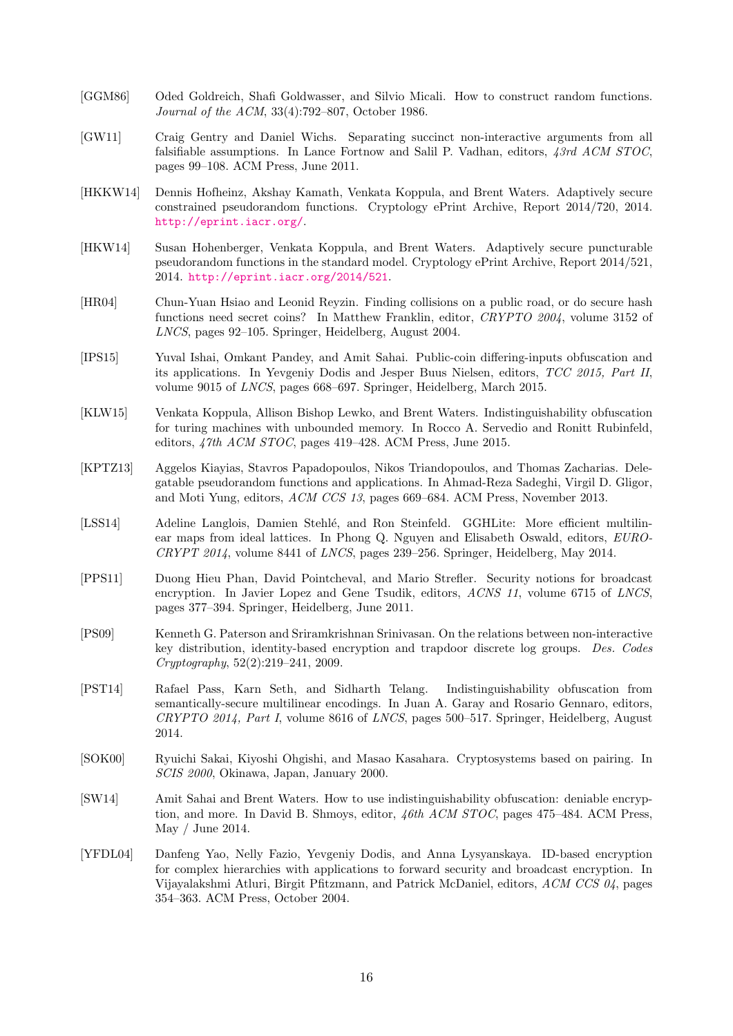- <span id="page-15-0"></span>[GGM86] Oded Goldreich, Shafi Goldwasser, and Silvio Micali. How to construct random functions. Journal of the ACM, 33(4):792–807, October 1986.
- <span id="page-15-13"></span>[GW11] Craig Gentry and Daniel Wichs. Separating succinct non-interactive arguments from all falsifiable assumptions. In Lance Fortnow and Salil P. Vadhan, editors, 43rd ACM STOC, pages 99–108. ACM Press, June 2011.
- <span id="page-15-9"></span>[HKKW14] Dennis Hofheinz, Akshay Kamath, Venkata Koppula, and Brent Waters. Adaptively secure constrained pseudorandom functions. Cryptology ePrint Archive, Report 2014/720, 2014. <http://eprint.iacr.org/>.
- <span id="page-15-7"></span>[HKW14] Susan Hohenberger, Venkata Koppula, and Brent Waters. Adaptively secure puncturable pseudorandom functions in the standard model. Cryptology ePrint Archive, Report 2014/521, 2014. <http://eprint.iacr.org/2014/521>.
- <span id="page-15-12"></span>[HR04] Chun-Yuan Hsiao and Leonid Reyzin. Finding collisions on a public road, or do secure hash functions need secret coins? In Matthew Franklin, editor, CRYPTO 2004, volume 3152 of LNCS, pages 92–105. Springer, Heidelberg, August 2004.
- <span id="page-15-11"></span>[IPS15] Yuval Ishai, Omkant Pandey, and Amit Sahai. Public-coin differing-inputs obfuscation and its applications. In Yevgeniy Dodis and Jesper Buus Nielsen, editors, TCC 2015, Part II, volume 9015 of LNCS, pages 668–697. Springer, Heidelberg, March 2015.
- <span id="page-15-10"></span>[KLW15] Venkata Koppula, Allison Bishop Lewko, and Brent Waters. Indistinguishability obfuscation for turing machines with unbounded memory. In Rocco A. Servedio and Ronitt Rubinfeld, editors, 47th ACM STOC, pages 419–428. ACM Press, June 2015.
- <span id="page-15-1"></span>[KPTZ13] Aggelos Kiayias, Stavros Papadopoulos, Nikos Triandopoulos, and Thomas Zacharias. Delegatable pseudorandom functions and applications. In Ahmad-Reza Sadeghi, Virgil D. Gligor, and Moti Yung, editors, ACM CCS 13, pages 669–684. ACM Press, November 2013.
- <span id="page-15-2"></span>[LSS14] Adeline Langlois, Damien Stehlé, and Ron Steinfeld. GGHLite: More efficient multilinear maps from ideal lattices. In Phong Q. Nguyen and Elisabeth Oswald, editors, EURO-CRYPT 2014, volume 8441 of LNCS, pages 239–256. Springer, Heidelberg, May 2014.
- <span id="page-15-5"></span>[PPS11] Duong Hieu Phan, David Pointcheval, and Mario Strefler. Security notions for broadcast encryption. In Javier Lopez and Gene Tsudik, editors, ACNS 11, volume 6715 of LNCS, pages 377–394. Springer, Heidelberg, June 2011.
- <span id="page-15-14"></span>[PS09] Kenneth G. Paterson and Sriramkrishnan Srinivasan. On the relations between non-interactive key distribution, identity-based encryption and trapdoor discrete log groups. Des. Codes Cryptography, 52(2):219–241, 2009.
- <span id="page-15-8"></span>[PST14] Rafael Pass, Karn Seth, and Sidharth Telang. Indistinguishability obfuscation from semantically-secure multilinear encodings. In Juan A. Garay and Rosario Gennaro, editors, CRYPTO 2014, Part I, volume 8616 of LNCS, pages 500–517. Springer, Heidelberg, August 2014.
- <span id="page-15-6"></span>[SOK00] Ryuichi Sakai, Kiyoshi Ohgishi, and Masao Kasahara. Cryptosystems based on pairing. In SCIS 2000, Okinawa, Japan, January 2000.
- <span id="page-15-3"></span>[SW14] Amit Sahai and Brent Waters. How to use indistinguishability obfuscation: deniable encryption, and more. In David B. Shmoys, editor, 46th ACM STOC, pages 475–484. ACM Press, May / June 2014.
- <span id="page-15-4"></span>[YFDL04] Danfeng Yao, Nelly Fazio, Yevgeniy Dodis, and Anna Lysyanskaya. ID-based encryption for complex hierarchies with applications to forward security and broadcast encryption. In Vijayalakshmi Atluri, Birgit Pfitzmann, and Patrick McDaniel, editors, ACM CCS 04, pages 354–363. ACM Press, October 2004.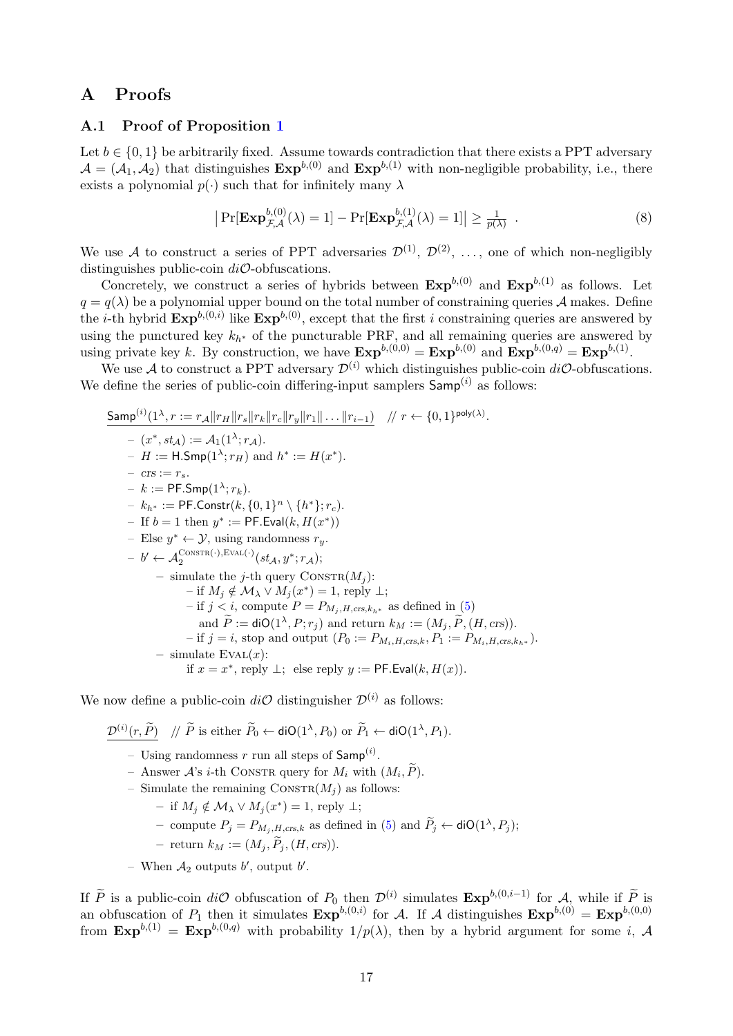# A Proofs

#### <span id="page-16-0"></span>A.1 Proof of Proposition [1](#page-10-1)

Let  $b \in \{0,1\}$  be arbitrarily fixed. Assume towards contradiction that there exists a PPT adversary  $\mathcal{A} = (\mathcal{A}_1, \mathcal{A}_2)$  that distinguishes  $\text{Exp}^{b,(0)}$  and  $\text{Exp}^{b,(1)}$  with non-negligible probability, i.e., there exists a polynomial  $p(\cdot)$  such that for infinitely many  $\lambda$ 

$$
\left| \Pr[\mathbf{Exp}^{b,(0)}_{\mathcal{F},\mathcal{A}}(\lambda) = 1] - \Pr[\mathbf{Exp}^{b,(1)}_{\mathcal{F},\mathcal{A}}(\lambda) = 1] \right| \ge \frac{1}{p(\lambda)} \quad . \tag{8}
$$

We use A to construct a series of PPT adversaries  $\mathcal{D}^{(1)}$ ,  $\mathcal{D}^{(2)}$ , ..., one of which non-negligibly distinguishes public-coin  $di\mathcal{O}$ -obfuscations.

Concretely, we construct a series of hybrids between  $\text{Exp}^{b,(0)}$  and  $\text{Exp}^{b,(1)}$  as follows. Let  $q = q(\lambda)$  be a polynomial upper bound on the total number of constraining queries A makes. Define the *i*-th hybrid  $\text{Exp}^{b,(0,i)}$  like  $\text{Exp}^{b,(0)}$ , except that the first *i* constraining queries are answered by using the punctured key  $k_{h^*}$  of the puncturable PRF, and all remaining queries are answered by using private key k. By construction, we have  $\text{Exp}^{b,(0,0)} = \text{Exp}^{b,(0)}$  and  $\text{Exp}^{b,(0,q)} = \text{Exp}^{b,(1)}$ .

We use A to construct a PPT adversary  $\mathcal{D}^{(i)}$  which distinguishes public-coin  $di\mathcal{O}$ -obfuscations. We define the series of public-coin differing-input samplers  $\mathsf{Samp}^{(i)}$  as follows:

$$
\begin{aligned}\n&\underline{\mathsf{Samp}}^{(i)}(1^{\lambda}, r := r_{A} \|r_{B}\|r_{s}\|r_{k}\|r_{c}\|r_{y}\|r_{1}\| \dots \|r_{i-1}) & // \ r \leftarrow \{0, 1\}^{\mathsf{poly}(\lambda)}. \\
&\quad - (x^*, st_{\mathcal{A}}) := \mathcal{A}_1(1^{\lambda}; r_{\mathcal{A}}). \\
&\quad - H := \mathsf{H}.\mathsf{Smp}(1^{\lambda}; r_{H}) \text{ and } h^* := H(x^*). \\
&\quad - \mathsf{crs} := r_{s}. \\
&\quad - k := \mathsf{PF}.\mathsf{Smp}(1^{\lambda}; r_{k}). \\
&\quad - k_{h^*} := \mathsf{PF}.\mathsf{Constr}(k, \{0, 1\}^n \setminus \{h^*\}; r_{c}). \\
&\quad - \text{ If } b = 1 \text{ then } y^* := \mathsf{PF}.\mathsf{Eval}(k, H(x^*)) \\
&\quad - \text{Else } y^* \leftarrow \mathcal{Y}, \text{ using randomness } r_{y}. \\
&\quad - b' \leftarrow \mathcal{A}_2^{\text{CONSTR}(\cdot), \text{EVAL}(\cdot)}(st_{\mathcal{A}}, y^*; r_{\mathcal{A}}); \\
&\quad - \text{ simulate the } j\text{-th query } \text{CONSTR}(M_j): \\
&\quad - \text{ if } M_j \notin \mathcal{M}_{\lambda} \lor M_j(x^*) = 1, \text{ reply } \bot; \\
&\quad - \text{ if } j < i, \text{ compute } P = P_{M_j, H, \text{crs}, k_{h^*}} \text{ as defined in (5)} \\
&\quad \text{ and } \tilde{P} := \text{diO}(1^{\lambda}, P; r_j) \text{ and return } k_M := (M_j, \tilde{P}, (H, \text{crs})). \\
&\quad - \text{ if } j = i, \text{ stop and output } (P_0 := P_{M_i, H, \text{crs}, k}, P_1 := P_{M_i, H, \text{crs}, k_{h^*}}). \\
&\quad - \text{ simulate } \text{EVAL}(x): \\
&\quad \text{ if } x = x^*, \text{ reply } \bot; \text{ else } \text{reply } y := \mathsf{PF}.\mathsf{Eval}(k, H(x)).\n\end{aligned}
$$

We now define a public-coin  $di\mathcal{O}$  distinguisher  $\mathcal{D}^{(i)}$  as follows:

 $\frac{\mathcal{D}^{(i)}(r,\tilde{P})}{\mathcal{D}}$  //  $\tilde{P}$  is either  $\tilde{P}_0 \leftarrow \text{diO}(1^{\lambda}, P_0)$  or  $\tilde{P}_1 \leftarrow \text{diO}(1^{\lambda}, P_1)$ .

- Using randomness r run all steps of  $\mathsf{Samp}^{(i)}$ .
- Answer  $\mathcal{A}$ 's *i*-th CONSTR query for  $M_i$  with  $(M_i, \tilde{P})$ .
- Simulate the remaining  $\text{Constr}(M_i)$  as follows:
	- $-$  if  $M_j \notin \mathcal{M}_\lambda \vee M_j(x^*) = 1$ , reply  $\perp$ ;
	- compute  $P_j = P_{M_j, H, \text{crs}, k}$  as defined in [\(5\)](#page-9-0) and  $\tilde{P}_j \leftarrow \text{diO}(1^{\lambda}, P_j);$
	- return  $k_M := (M_i, \widetilde{P}_i, (H, \text{crs})).$
- When  $A_2$  outputs b', output b'.

If  $\widetilde{P}$  is a public-coin di $\mathcal{O}$  obfuscation of  $P_0$  then  $\mathcal{D}^{(i)}$  simulates  $\mathbf{Exp}^{b,(0,i-1)}$  for  $\mathcal{A}$ , while if  $\widetilde{P}$  is an obfuscation of  $P_1$  then it simulates  $\text{Exp}^{b,(0,i)}$  for A. If A distinguishes  $\text{Exp}^{b,(0)} = \text{Exp}^{b,(0,0)}$ from  $\text{Exp}^{b,(1)} = \text{Exp}^{b,(0,q)}$  with probability  $1/p(\lambda)$ , then by a hybrid argument for some i, A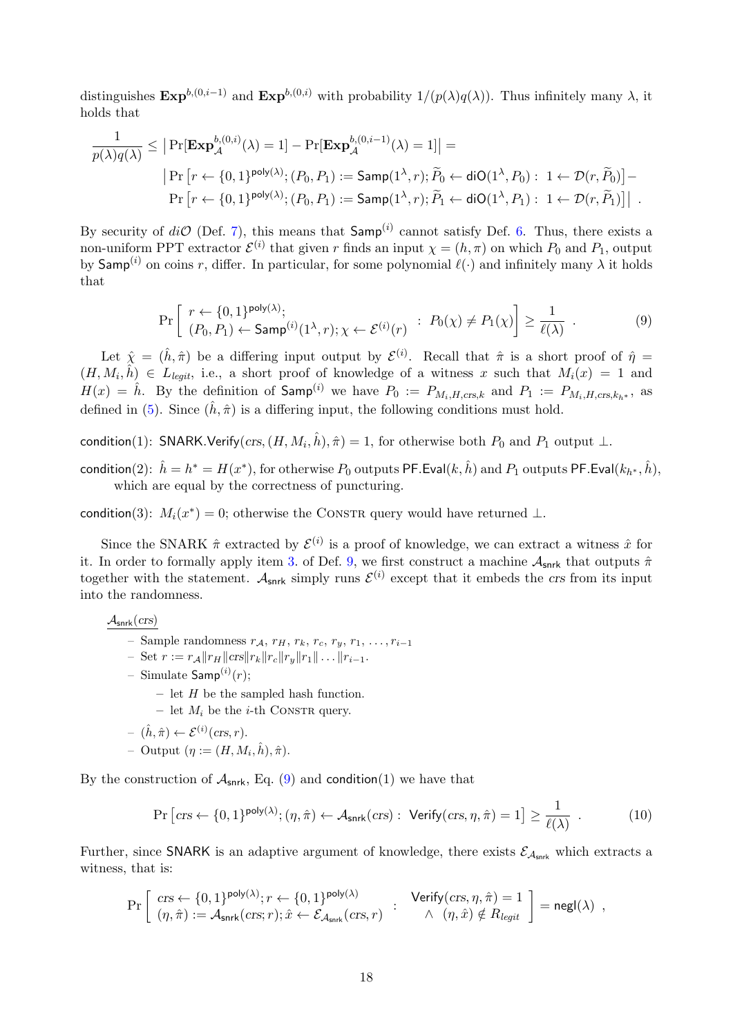distinguishes  $\text{Exp}^{b,(0,i-1)}$  and  $\text{Exp}^{b,(0,i)}$  with probability  $1/(p(\lambda)q(\lambda))$ . Thus infinitely many  $\lambda$ , it holds that

$$
\frac{1}{p(\lambda)q(\lambda)} \leq \left| \Pr[\mathbf{Exp}_{\mathcal{A}}^{b,(0,i)}(\lambda) = 1] - \Pr[\mathbf{Exp}_{\mathcal{A}}^{b,(0,i-1)}(\lambda) = 1] \right| =
$$
\n
$$
\left| \Pr\left[r \leftarrow \{0,1\}^{\text{poly}(\lambda)}; (P_0, P_1) := \text{Samp}(1^{\lambda}, r); \widetilde{P}_0 \leftarrow \text{diO}(1^{\lambda}, P_0): 1 \leftarrow \mathcal{D}(r, \widetilde{P}_0) \right] -
$$
\n
$$
\Pr\left[r \leftarrow \{0,1\}^{\text{poly}(\lambda)}; (P_0, P_1) := \text{Samp}(1^{\lambda}, r); \widetilde{P}_1 \leftarrow \text{diO}(1^{\lambda}, P_1): 1 \leftarrow \mathcal{D}(r, \widetilde{P}_1) \right] \right| \, .
$$

By security of  $di\mathcal{O}$  (Def. [7\)](#page-6-2), this means that  $\mathsf{Samp}^{(i)}$  cannot satisfy Def. [6.](#page-5-2) Thus, there exists a non-uniform PPT extractor  $\mathcal{E}^{(i)}$  that given r finds an input  $\chi = (h, \pi)$  on which  $P_0$  and  $P_1$ , output by Samp<sup>(i)</sup> on coins r, differ. In particular, for some polynomial  $\ell(\cdot)$  and infinitely many  $\lambda$  it holds that

<span id="page-17-0"></span>
$$
\Pr\left[\begin{array}{l}r \leftarrow \{0,1\}^{\mathsf{poly}(\lambda)};\\(P_0, P_1) \leftarrow \mathsf{Samp}^{(i)}(1^{\lambda}, r); \chi \leftarrow \mathcal{E}^{(i)}(r)\end{array}: P_0(\chi) \neq P_1(\chi)\right] \geq \frac{1}{\ell(\lambda)}\ .\tag{9}
$$

Let  $\hat{\chi} = (\hat{h}, \hat{\pi})$  be a differing input output by  $\mathcal{E}^{(i)}$ . Recall that  $\hat{\pi}$  is a short proof of  $\hat{\eta} =$  $(H, M_i, \hat{h}) \in L_{legit}$ , i.e., a short proof of knowledge of a witness x such that  $M_i(x) = 1$  and  $H(x) = \hat{h}$ . By the definition of  $\textsf{Samp}^{(i)}$  we have  $P_0 := P_{M_i,H,\text{crs},k}$  and  $P_1 := P_{M_i,H,\text{crs},k_h*}$ , as defined in [\(5\)](#page-9-0). Since  $(\hat{h}, \hat{\pi})$  is a differing input, the following conditions must hold.

condition(1): SNARK.Verify $pmathcal{C}rs, (H, M_i, \hat{h}), \hat{\pi}) = 1$ , for otherwise both  $P_0$  and  $P_1$  output  $\bot$ .

 $\textsf{condition}(2) \colon\, \hat{h} = h^* = H(x^*), \text{for otherwise } P_0 \text{ outputs } \mathsf{PF}.\mathsf{Eval}(k, \hat{h}) \text{ and } P_1 \text{ outputs } \mathsf{PF}.\mathsf{Eval}(k_{h^*}, \hat{h}),$ which are equal by the correctness of puncturing.

condition(3):  $M_i(x^*) = 0$ ; otherwise the CONSTR query would have returned  $\perp$ .

Since the SNARK  $\hat{\pi}$  extracted by  $\mathcal{E}^{(i)}$  is a proof of knowledge, we can extract a witness  $\hat{x}$  for it. In order to formally apply item [3.](#page-6-3) of Def. [9,](#page-6-1) we first construct a machine  $A_{\text{snrk}}$  that outputs  $\hat{\pi}$ together with the statement.  $A_{snrk}$  simply runs  $\mathcal{E}^{(i)}$  except that it embeds the crs from its input into the randomness.

 $\mathcal{A}_{\sf snrk}(crs)$ 

- Sample randomness  $r_A$ ,  $r_H$ ,  $r_k$ ,  $r_c$ ,  $r_y$ ,  $r_1$ , ...,  $r_{i-1}$
- Set  $r := r_{\mathcal{A}} ||r_H|| \cos ||r_k|| r_c ||r_u|| r_1|| \dots ||r_{i-1}.$
- $-$  Simulate  $\mathsf{Samp}^{(i)}(r);$ 
	- let  $H$  be the sampled hash function.
	- let  $M_i$  be the *i*-th CONSTR query.
- $(\hat{h}, \hat{\pi}) \leftarrow \mathcal{E}^{(i)}(\text{crs}, r).$
- $-$  Output  $(\eta := (H, M_i, \hat{h}), \hat{\pi}).$

By the construction of  $A_{snrk}$ , Eq. [\(9\)](#page-17-0) and condition(1) we have that

<span id="page-17-1"></span>
$$
\Pr\left[\operatorname{crs} \leftarrow \{0, 1\}^{\mathsf{poly}(\lambda)}; (\eta, \hat{\pi}) \leftarrow \mathcal{A}_{\mathsf{snrk}}(\operatorname{crs}) : \ \mathsf{Verify}(\operatorname{crs}, \eta, \hat{\pi}) = 1\right] \ge \frac{1}{\ell(\lambda)} \ . \tag{10}
$$

Further, since SNARK is an adaptive argument of knowledge, there exists  $\mathcal{E}_{A_{snrk}}$  which extracts a witness, that is:

$$
\Pr\left[\begin{array}{l} \mathit{crs} \gets \{0,1\}^{\mathsf{poly}(\lambda)}; r \gets \{0,1\}^{\mathsf{poly}(\lambda)} & \; \; \mathsf{Verify}( \mathit{crs}, \eta, \hat{\pi}) = 1 \\ (\eta, \hat{\pi}) := \mathcal{A}_{\mathsf{snrk}}(\mathit{crs}, r); \hat{x} \gets \mathcal{E}_{\mathcal{A}_{\mathsf{snrk}}}(\mathit{crs}, r) & \; \; \wedge \;\; (\eta, \hat{x}) \notin R_{\mathit{legit}} \end{array} \right] = \mathsf{negl}(\lambda) \enspace ,
$$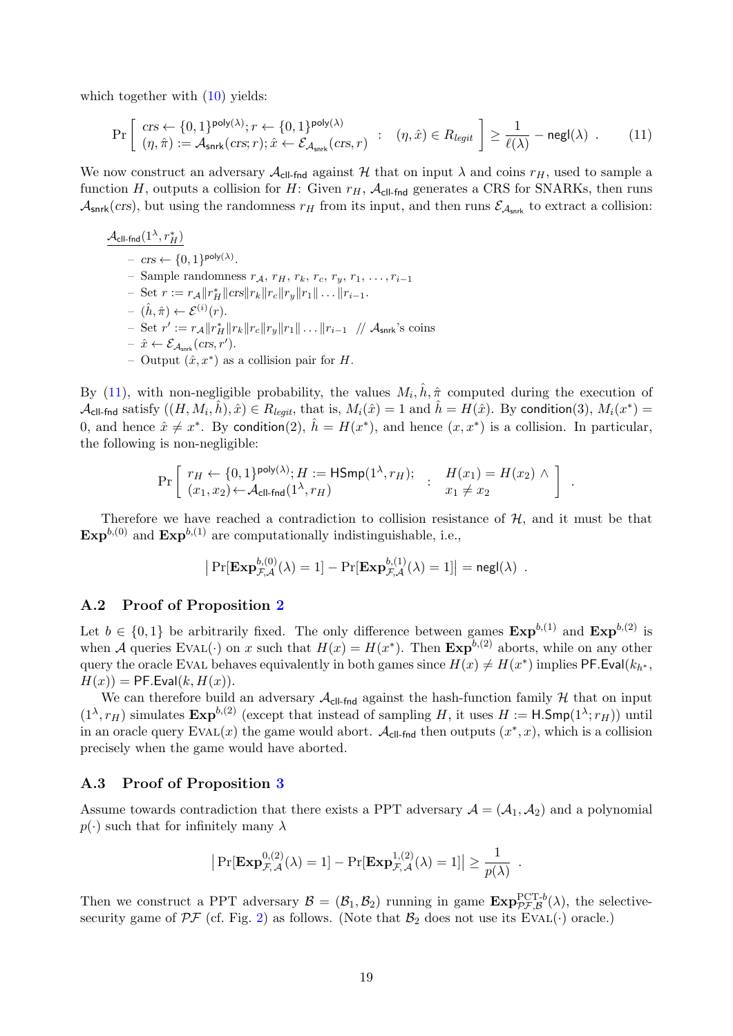which together with  $(10)$  yields:

<span id="page-18-2"></span>
$$
\Pr\left[\begin{array}{l} \mathit{crs} \leftarrow \{0,1\}^{\mathsf{poly}(\lambda)}; r \leftarrow \{0,1\}^{\mathsf{poly}(\lambda)}\\ (\eta,\hat{\pi}) := \mathcal{A}_{\mathsf{snrk}}(\mathit{crs};r); \hat{x} \leftarrow \mathcal{E}_{\mathcal{A}_{\mathsf{snrk}}(\mathit{crs},r)} \end{array}:\quad (\eta,\hat{x}) \in R_{\text{legit}}\right] \ge \frac{1}{\ell(\lambda)} - \mathsf{negl}(\lambda) \quad . \tag{11}
$$

We now construct an adversary  $\mathcal{A}_{\text{ell-fnd}}$  against H that on input  $\lambda$  and coins  $r_H$ , used to sample a function H, outputs a collision for H: Given  $r_H$ ,  $\mathcal{A}_{\text{cl-fnd}}$  generates a CRS for SNARKs, then runs  $\mathcal{A}_{\text{snrk}}(crs)$ , but using the randomness  $r_H$  from its input, and then runs  $\mathcal{E}_{\mathcal{A}_{\text{snrk}}}$  to extract a collision:

$$
\mathcal{A}_{\text{cll-fnd}}(1^{\lambda}, r_H^*)
$$
\n-  $\operatorname{crs} \leftarrow \{0, 1\}^{\text{poly}(\lambda)}.$   
\n- Sample randomness  $r_A$ ,  $r_H$ ,  $r_k$ ,  $r_c$ ,  $r_y$ ,  $r_1$ , ...,  $r_{i-1}$   
\n- Set  $r := r_A ||r_H^*||\operatorname{crs}||r_k||r_c||r_y||r_1|| \dots ||r_{i-1}.$   
\n-  $(\hat{h}, \hat{\pi}) \leftarrow \mathcal{E}^{(i)}(r).$   
\n- Set  $r' := r_A ||r_H^*||r_k||r_c||r_y||r_1|| \dots ||r_{i-1} // \mathcal{A}_{\text{snrk}}$ 's coins  
\n-  $\hat{x} \leftarrow \mathcal{E}_{\mathcal{A}_{\text{snrk}}(\text{crs}, r')}.$   
\n- Output  $(\hat{x}, x^*)$  as a collision pair for  $H$ .

By [\(11\)](#page-18-2), with non-negligible probability, the values  $M_i$ ,  $\hat{h}$ ,  $\hat{\pi}$  computed during the execution of  $\mathcal{A}_{\text{cl-find}}$  satisfy  $((H, M_i, \hat{h}), \hat{x}) \in R_{\text{legit}}$ , that is,  $M_i(\hat{x}) = 1$  and  $\hat{h} = H(\hat{x})$ . By condition(3),  $M_i(x^*) =$ 0, and hence  $\hat{x} \neq x^*$ . By condition(2),  $\hat{h} = H(x^*)$ , and hence  $(x, x^*)$  is a collision. In particular, the following is non-negligible:

$$
\Pr\left[\begin{array}{ll} r_H \leftarrow \{0,1\}^{\text{poly}(\lambda)}; H := \text{HSmp}(1^{\lambda}, r_H); \\ (x_1, x_2) \leftarrow \mathcal{A}_{\text{cll-fnd}}(1^{\lambda}, r_H) \end{array}:\begin{array}{ll} H(x_1) = H(x_2) \wedge \\ x_1 \neq x_2 \end{array}\right].
$$

Therefore we have reached a contradiction to collision resistance of  $H$ , and it must be that  $\text{Exp}^{b,(0)}$  and  $\text{Exp}^{b,(1)}$  are computationally indistinguishable, i.e.,

$$
\left| \Pr[\mathbf{Exp}^{b,(0)}_{\mathcal{F},\mathcal{A}}(\lambda) = 1] - \Pr[\mathbf{Exp}^{b,(1)}_{\mathcal{F},\mathcal{A}}(\lambda) = 1] \right| = \mathsf{negl}(\lambda) .
$$

#### <span id="page-18-0"></span>A.2 Proof of Proposition [2](#page-10-2)

Let  $b \in \{0,1\}$  be arbitrarily fixed. The only difference between games  $\text{Exp}^{b,(1)}$  and  $\text{Exp}^{b,(2)}$  is when A queries EVAL( $\cdot$ ) on x such that  $H(x) = H(x^*)$ . Then  $\text{Exp}^{b,(2)}$  aborts, while on any other query the oracle EVAL behaves equivalently in both games since  $H(x) \neq H(x^*)$  implies PF.Eval $(k_{h^*},$  $H(x)$  = PF. Eval(k,  $H(x)$ ).

We can therefore build an adversary  $\mathcal{A}_{\text{cl-find}}$  against the hash-function family  $\mathcal{H}$  that on input  $(1^{\lambda}, r_H)$  simulates  $\text{Exp}^{b,(2)}$  (except that instead of sampling H, it uses  $H := \text{H-Smp}(1^{\lambda}; r_H)$ ) until in an oracle query  $EVAL}(x)$  the game would abort.  $\mathcal{A}_{\text{cl-find}}$  then outputs  $(x^*, x)$ , which is a collision precisely when the game would have aborted.

#### <span id="page-18-1"></span>A.3 Proof of Proposition [3](#page-10-3)

Assume towards contradiction that there exists a PPT adversary  $A = (A_1, A_2)$  and a polynomial  $p(\cdot)$  such that for infinitely many  $\lambda$ 

$$
\big|\Pr[\mathbf{Exp}_{\mathcal{F},\mathcal{A}}^{0,(2)}(\lambda) = 1] - \Pr[\mathbf{Exp}_{\mathcal{F},\mathcal{A}}^{1,(2)}(\lambda) = 1]\big| \ge \frac{1}{p(\lambda)}
$$

.

Then we construct a PPT adversary  $\mathcal{B} = (\mathcal{B}_1, \mathcal{B}_2)$  running in game  $\text{Exp}_{\mathcal{PF}, \mathcal{B}}^{\text{PCT-}b}(\lambda)$ , the selectivesecurity game of  $\mathcal{PF}$  (cf. Fig. [2\)](#page-5-0) as follows. (Note that  $\mathcal{B}_2$  does not use its EVAL(·) oracle.)